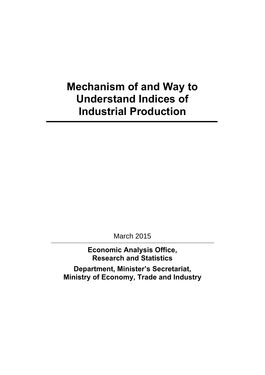## **Mechanism of and Way to Understand Indices of Industrial Production**

March 2015

**Economic Analysis Office, Research and Statistics** 

**Department, Minister's Secretariat, Ministry of Economy, Trade and Industry**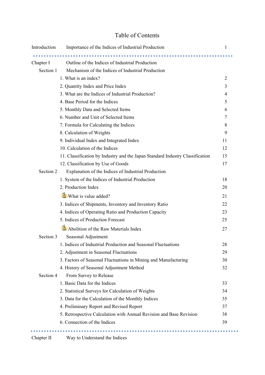## Table of Contents

| Introduction | Importance of the Indices of Industrial Production                            | 1              |
|--------------|-------------------------------------------------------------------------------|----------------|
|              |                                                                               |                |
| Chapter I    | Outline of the Indices of Industrial Production                               |                |
| Section 1    | Mechanism of the Indices of Industrial Production                             |                |
|              | 1. What is an index?                                                          | $\overline{2}$ |
|              | 2. Quantity Index and Price Index                                             | 3              |
|              | 3. What are the Indices of Industrial Production?                             | 4              |
|              | 4. Base Period for the Indices                                                | 5              |
|              | 5. Monthly Data and Selected Items                                            | 6              |
|              | 6. Number and Unit of Selected Items                                          | 7              |
|              | 7. Formula for Calculating the Indices                                        | 8              |
|              | 8. Calculation of Weights                                                     | 9              |
|              | 9. Individual Index and Integrated Index                                      | 11             |
|              | 10. Calculation of the Indices                                                | 12             |
|              | 11. Classification by Industry and the Japan Standard Industry Classification | 15             |
|              | 12. Classification by Use of Goods                                            | 17             |
| Section 2    | Explanation of the Indices of Industrial Production                           |                |
|              | 1. System of the Indices of Industrial Production                             | 18             |
|              | 2. Production Index                                                           | 20             |
|              | $\delta$ What is value added?                                                 | 21             |
|              | 3. Indices of Shipments, Inventory and Inventory Ratio                        | 22             |
|              | 4. Indices of Operating Ratio and Production Capacity                         | 23             |
|              | 5. Indices of Production Forecast                                             | 25             |
|              | Abolition of the Raw Materials Index                                          | 27             |
| Section 3    | Seasonal Adjustment                                                           |                |
|              | 1. Indices of Industrial Production and Seasonal Fluctuations                 | 28             |
|              | 2. Adjustment in Seasonal Fluctuations                                        | 29             |
|              | 3. Factors of Seasonal Fluctuations in Mining and Manufacturing               | 30             |
|              | 4. History of Seasonal Adjustment Method                                      | 32             |
| Section 4    | From Survey to Release                                                        |                |
|              | 1. Basic Data for the Indices                                                 | 33             |
|              | 2. Statistical Surveys for Calculation of Weights                             | 34             |
|              | 3. Data for the Calculation of the Monthly Indices                            | 35             |
|              | 4. Preliminary Report and Revised Report                                      | 37             |
|              | 5. Retrospective Calculation with Annual Revision and Base Revision           | 38             |
|              | 6. Connection of the Indices                                                  | 39             |
|              |                                                                               |                |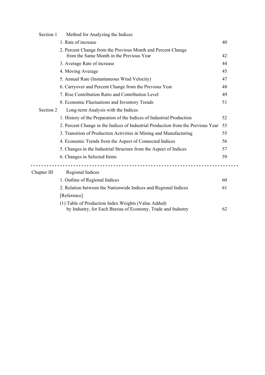| Section 1   | Method for Analyzing the Indices                                                                                   |    |
|-------------|--------------------------------------------------------------------------------------------------------------------|----|
|             | 1. Rate of increase                                                                                                | 40 |
|             | 2. Percent Change from the Previous Month and Percent Change<br>from the Same Month in the Previous Year           | 42 |
|             | 3. Average Rate of increase                                                                                        | 44 |
|             | 4. Moving Average                                                                                                  | 45 |
|             | 5. Annual Rate (Instantaneous Wind Velocity)                                                                       | 47 |
|             | 6. Carryover and Percent Change from the Previous Year                                                             | 48 |
|             | 7. Rise Contribution Ratio and Contribution Level                                                                  | 49 |
|             | 8. Economic Fluctuations and Inventory Trends                                                                      | 51 |
| Section 2   | Long-term Analysis with the Indices                                                                                |    |
|             | 1. History of the Preparation of the Indices of Industrial Production                                              | 52 |
|             | 2. Percent Change in the Indices of Industrial Production from the Previous Year                                   | 53 |
|             | 3. Transition of Production Activities in Mining and Manufacturing                                                 | 55 |
|             | 4. Economic Trends from the Aspect of Connected Indices                                                            | 56 |
|             | 5. Changes in the Industrial Structure from the Aspect of Indices                                                  | 57 |
|             | 6. Changes in Selected Items                                                                                       | 59 |
|             |                                                                                                                    |    |
| Chapter III | Regional Indices                                                                                                   |    |
|             | 1. Outline of Regional Indices                                                                                     | 60 |
|             | 2. Relation between the Nationwide Indices and Regional Indices                                                    | 61 |
|             | [Reference]                                                                                                        |    |
|             | (1) Table of Production Index Weights (Value Added)<br>by Industry, for Each Bureau of Economy, Trade and Industry | 62 |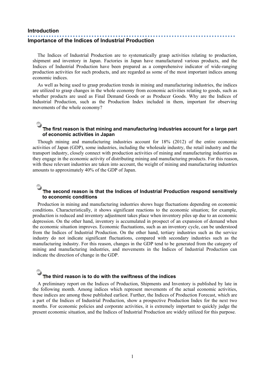#### **Introduction**

## **Importance of the Indices of Industrial Production**

The Indices of Industrial Production are to systematically grasp activities relating to production, shipment and inventory in Japan. Factories in Japan have manufactured various products, and the Indices of Industrial Production have been prepared as a comprehensive indicator of wide-ranging production activities for such products, and are regarded as some of the most important indices among economic indices.

As well as being used to grasp production trends in mining and manufacturing industries, the indices are utilized to grasp changes in the whole economy from economic activities relating to goods, such as whether products are used as Final Demand Goods or as Producer Goods. Why are the Indices of Industrial Production, such as the Production Index included in them, important for observing movements of the whole economy?

### **The first reason is that mining and manufacturing industries account for a large part of economic activities in Japan**

Though mining and manufacturing industries account for 18% (2012) of the entire economic activities of Japan (GDP), some industries, including the wholesale industry, the retail industry and the transport industry, closely connect with production activities of mining and manufacturing industries as they engage in the economic activity of distributing mining and manufacturing products. For this reason, with these relevant industries are taken into account, the weight of mining and manufacturing industries amounts to approximately 40% of the GDP of Japan.

### **The second reason is that the Indices of Industrial Production respond sensitively to economic conditions**

Production in mining and manufacturing industries shows huge fluctuations depending on economic conditions. Characteristically, it shows significant reactions to the economic situation; for example, production is reduced and inventory adjustment takes place when inventory piles up due to an economic depression. On the other hand, inventory is accumulated in prospect of an expansion of demand when the economic situation improves. Economic fluctuations, such as an inventory cycle, can be understood from the Indices of Industrial Production. On the other hand, tertiary industries such as the service industry do not indicate significant fluctuations, compared with secondary industries such as the manufacturing industry. For this reason, changes in the GDP tend to be generated from the category of mining and manufacturing industries, and movements in the Indices of Industrial Production can indicate the direction of change in the GDP.

### **The third reason is to do with the swiftness of the indices**

A preliminary report on the Indices of Production, Shipments and Inventory is published by late in the following month. Among indices which represent movements of the actual economic activities, these indices are among those published earliest. Further, the Indices of Production Forecast, which are a part of the Indices of Industrial Production, show a prospective Production Index for the next two months. For economic policies and corporate activities, it is extremely important to quickly judge the present economic situation, and the Indices of Industrial Production are widely utilized for this purpose.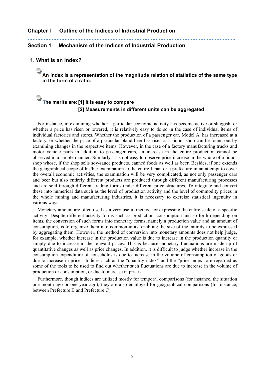### **Chapter I Outline of the Indices of Industrial Production**

**Section 1 Mechanism of the Indices of Industrial Production** 

**1. What is an index?** 

 **An index is a representation of the magnitude relation of statistics of the same type in the form of a ratio.** 

## **The merits are: [1] it is easy to compare [2] Measurements in different units can be aggregated**

For instance, in examining whether a particular economic activity has become active or sluggish, or whether a price has risen or lowered, it is relatively easy to do so in the case of individual items of individual factories and stores. Whether the production of a passenger car, Model A, has increased at a factory, or whether the price of a particular bland beer has risen at a liquor shop can be found out by examining changes in the respective items. However, in the case of a factory manufacturing trucks and motor vehicle parts in addition to passenger cars, an increase in the entire production cannot be observed in a simple manner. Similarly, it is not easy to observe price increase in the whole of a liquor shop whose, if the shop sells soy-sauce products, canned foods as well as beer. Besides, if one extends the geographical scope of his/her examination to the entire Japan or a prefecture in an attempt to cover the overall economic activities, the examination will be very complicated, as not only passenger cars and beer but also entirely different products are produced through different manufacturing processes and are sold through different trading forms under different price structures. To integrate and convert these into numerical data such as the level of production activity and the level of commodity prices in the whole mining and manufacturing industries, it is necessary to exercise statistical ingenuity in various ways.

Monetary amount are often used as a very useful method for expressing the entire scale of a specific activity. Despite different activity forms such as production, consumption and so forth depending on items, the conversion of such forms into monetary forms, namely a production value and an amount of consumption, is to organize them into common units, enabling the size of the entirety to be expressed by aggregating them. However, the method of conversion into monetary amounts does not help judge, for example, whether increase in the production value is due to increase in the production quantity or simply due to increase in the relevant prices. This is because monetary fluctuations are made up of quantitative changes as well as price changes. In addition, it is difficult to judge whether increase in the consumption expenditure of households is due to increase in the volume of consumption of goods or due to increase in prices. Indices such as the "quantity index" and the "price index" are regarded as some of the tools to be used to find out whether such fluctuations are due to increase in the volume of production or consumption, or due to increase in prices.

Furthermore, though indices are utilized mostly for temporal comparisons (for instance, the situation one month ago or one year ago), they are also employed for geographical comparisons (for instance, between Prefecture B and Prefecture C).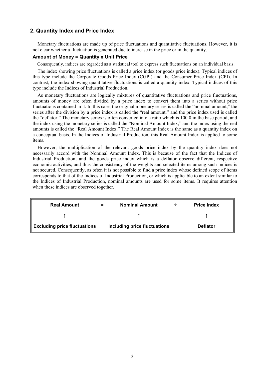### **2. Quantity Index and Price Index**

Monetary fluctuations are made up of price fluctuations and quantitative fluctuations. However, it is not clear whether a fluctuation is generated due to increase in the price or in the quantity.

### **Amount of Money = Quantity x Unit Price**

Consequently, indices are regarded as a statistical tool to express such fluctuations on an individual basis.

The index showing price fluctuations is called a price index (or goods price index). Typical indices of this type include the Corporate Goods Price Index (CGPI) and the Consumer Price Index (CPI). In contrast, the index showing quantitative fluctuations is called a quantity index. Typical indices of this type include the Indices of Industrial Production.

As monetary fluctuations are logically mixtures of quantitative fluctuations and price fluctuations, amounts of money are often divided by a price index to convert them into a series without price fluctuations contained in it. In this case, the original monetary series is called the "nominal amount," the series after the division by a price index is called the "real amount," and the price index used is called the "deflator." The monetary series is often converted into a ratio which is 100.0 in the base period, and the index using the monetary series is called the "Nominal Amount Index," and the index using the real amounts is called the "Real Amount Index." The Real Amount Index is the same as a quantity index on a conceptual basis. In the Indices of Industrial Production, this Real Amount Index is applied to some items.

However, the multiplication of the relevant goods price index by the quantity index does not necessarily accord with the Nominal Amount Index. This is because of the fact that the Indices of Industrial Production, and the goods price index which is a deflator observe different, respective economic activities, and thus the consistency of the weights and selected items among such indices is not secured. Consequently, as often it is not possible to find a price index whose defined scope of items corresponds to that of the Indices of Industrial Production, or which is applicable to an extent similar to the Indices of Industrial Production, nominal amounts are used for some items. It requires attention when these indices are observed together.

| <b>Real Amount</b>           | = | <b>Nominal Amount</b>        | ∸ | <b>Price Index</b> |
|------------------------------|---|------------------------------|---|--------------------|
|                              |   |                              |   |                    |
| Excluding price fluctuations |   | Including price fluctuations |   | <b>Deflator</b>    |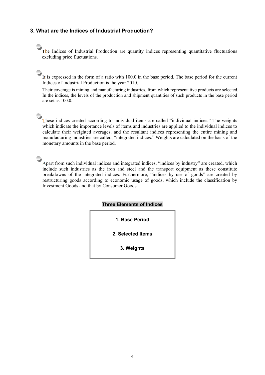### **3. What are the Indices of Industrial Production?**

The Indices of Industrial Production are quantity indices representing quantitative fluctuations excluding price fluctuations.

 It is expressed in the form of a ratio with 100.0 in the base period. The base period for the current Indices of Industrial Production is the year 2010.

Their coverage is mining and manufacturing industries, from which representative products are selected. In the indices, the levels of the production and shipment quantities of such products in the base period are set as 100.0.

 These indices created according to individual items are called "individual indices." The weights which indicate the importance levels of items and industries are applied to the individual indices to calculate their weighted averages, and the resultant indices representing the entire mining and manufacturing industries are called, "integrated indices." Weights are calculated on the basis of the monetary amounts in the base period.

 Apart from such individual indices and integrated indices, "indices by industry" are created, which include such industries as the iron and steel and the transport equipment as these constitute breakdowns of the integrated indices. Furthermore, "indices by use of goods" are created by restructuring goods according to economic usage of goods, which include the classification by Investment Goods and that by Consumer Goods.

### **Three Elements of Indices**

**1. Base Period** 

**2. Selected Items** 

**3. Weights**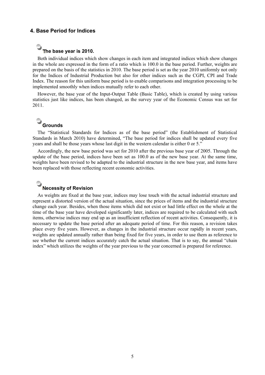### **4. Base Period for Indices**

### **The base year is 2010.**

Both individual indices which show changes in each item and integrated indices which show changes in the whole are expressed in the form of a ratio which is 100.0 in the base period. Further, weights are prepared on the basis of the statistics in 2010. The base period is set as the year 2010 uniformly not only for the Indices of Industrial Production but also for other indices such as the CGPI, CPI and Trade Index. The reason for this uniform base period is to enable comparisons and integration processing to be implemented smoothly when indices mutually refer to each other.

However, the base year of the Input-Output Table (Basic Table), which is created by using various statistics just like indices, has been changed, as the survey year of the Economic Census was set for 2011.

## **Grounds**

The "Statistical Standards for Indices as of the base period" (the Establishment of Statistical Standards in March 2010) have determined, "The base period for indices shall be updated every five years and shall be those years whose last digit in the western calendar is either 0 or 5."

Accordingly, the new base period was set for 2010 after the previous base year of 2005. Through the update of the base period, indices have been set as 100.0 as of the new base year. At the same time, weights have been revised to be adapted to the industrial structure in the new base year, and items have been replaced with those reflecting recent economic activities.

## **Necessity of Revision**

As weights are fixed at the base year, indices may lose touch with the actual industrial structure and represent a distorted version of the actual situation, since the prices of items and the industrial structure change each year. Besides, when those items which did not exist or had little effect on the whole at the time of the base year have developed significantly later, indices are required to be calculated with such items, otherwise indices may end up as an insufficient reflection of recent activities. Consequently, it is necessary to update the base period after an adequate period of time. For this reason, a revision takes place every five years. However, as changes in the industrial structure occur rapidly in recent years, weights are updated annually rather than being fixed for five years, in order to use them as reference to see whether the current indices accurately catch the actual situation. That is to say, the annual "chain index" which utilizes the weights of the year previous to the year concerned is prepared for reference.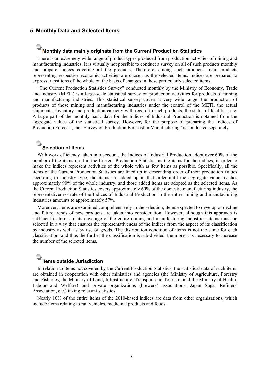### **5. Monthly Data and Selected Items**

### **Monthly data mainly originate from the Current Production Statistics**

There is an extremely wide range of product types produced from production activities of mining and manufacturing industries. It is virtually not possible to conduct a survey on all of such products monthly and prepare indices covering all the products. Therefore, among such products, main products representing respective economic activities are chosen as the selected items. Indices are prepared to express transitions of the whole on the basis of changes in these particularly selected items.

"The Current Production Statistics Survey" conducted monthly by the Ministry of Economy, Trade and Industry (METI) is a large-scale statistical survey on production activities for products of mining and manufacturing industries. This statistical survey covers a very wide range: the production of products of those mining and manufacturing industries under the control of the METI, the actual shipments, inventory and production capacity with regard to such products, the status of facilities, etc. A large part of the monthly basic data for the Indices of Industrial Production is obtained from the aggregate values of the statistical survey. However, for the purpose of preparing the Indices of Production Forecast, the "Survey on Production Forecast in Manufacturing" is conducted separately.

### **Selection of Items**

With work efficiency taken into account, the Indices of Industrial Production adopt over 60% of the number of the items used in the Current Production Statistics as the items for the indices, in order to make the indices represent activities of the whole with as few items as possible. Specifically, all the items of the Current Production Statistics are lined up in descending order of their production values according to industry type, the items are added up in that order until the aggregate value reaches approximately 90% of the whole industry, and those added items are adopted as the selected items. As the Current Production Statistics covers approximately 60% of the domestic manufacturing industry, the representativeness rate of the Indices of Industrial Production in the entire mining and manufacturing industries amounts to approximately 57%.

Moreover, items are examined comprehensively in the selection; items expected to develop or decline and future trends of new products are taken into consideration. However, although this approach is sufficient in terms of its coverage of the entire mining and manufacturing industries, items must be selected in a way that ensures the representativeness of the indices from the aspect of its classification by industry as well as by use of goods. The distribution condition of items is not the same for each classification, and thus the further the classification is sub-divided, the more it is necessary to increase the number of the selected items.

### **Items outside Jurisdiction**

In relation to items not covered by the Current Production Statistics, the statistical data of such items are obtained in cooperation with other ministries and agencies (the Ministry of Agriculture, Forestry and Fisheries, the Ministry of Land, Infrastructure, Transport and Tourism, and the Ministry of Health, Labour and Welfare) and private organizations (brewers' associations, Japan Sugar Refiners' Association, etc.) taking relevant statistics.

Nearly 10% of the entire items of the 2010-based indices are data from other organizations, which include items relating to rail vehicles, medicinal products and foods.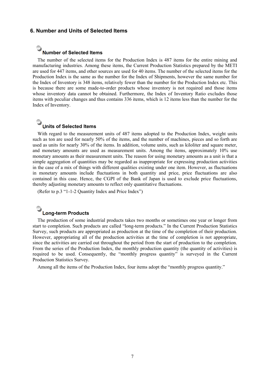### **6. Number and Units of Selected Items**

### **Number of Selected Items**

The number of the selected items for the Production Index is 487 items for the entire mining and manufacturing industries. Among these items, the Current Production Statistics prepared by the METI are used for 447 items, and other sources are used for 40 items. The number of the selected items for the Production Index is the same as the number for the Index of Shipments, however the same number for the Index of Inventory is 348 items, relatively fewer than the number for the Production Index etc. This is because there are some made-to-order products whose inventory is not required and those items whose inventory data cannot be obtained. Furthermore, the Index of Inventory Ratio excludes those items with peculiar changes and thus contains 336 items, which is 12 items less than the number for the Index of Inventory.

## **Units of Selected Items**

With regard to the measurement units of 487 items adopted to the Production Index, weight units such as ton are used for nearly 50% of the items, and the number of machines, pieces and so forth are used as units for nearly 30% of the items. In addition, volume units, such as kiloliter and square meter, and monetary amounts are used as measurement units. Among the items, approximately 10% use monetary amounts as their measurement units. The reason for using monetary amounts as a unit is that a simple aggregation of quantities may be regarded as inappropriate for expressing production activities in the case of a mix of things with different qualities existing under one item. However, as fluctuations in monetary amounts include fluctuations in both quantity and price, price fluctuations are also contained in this case. Hence, the CGPI of the Bank of Japan is used to exclude price fluctuations, thereby adjusting monetary amounts to reflect only quantitative fluctuations.

(Refer to p.3 "1-1-2 Quantity Index and Price Index")

## **Long-term Products**

The production of some industrial products takes two months or sometimes one year or longer from start to completion. Such products are called "long-term products." In the Current Production Statistics Survey, such products are appropriated as production at the time of the completion of their production. However, appropriating all of the production activities at the time of completion is not appropriate, since the activities are carried out throughout the period from the start of production to the completion. From the series of the Production Index, the monthly production quantity (the quantity of activities) is required to be used. Consequently, the "monthly progress quantity" is surveyed in the Current Production Statistics Survey.

Among all the items of the Production Index, four items adopt the "monthly progress quantity."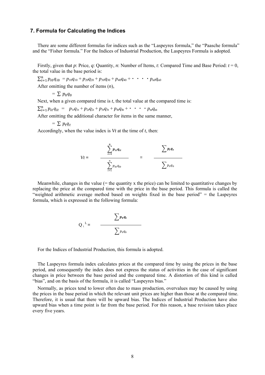### **7. Formula for Calculating the Indices**

There are some different formulas for indices such as the "Laspeyres formula," the "Paasche formula" and the "Fisher formula." For the Indices of Industrial Production, the Laspeyres Formula is adopted.

Firstly, given that *p*: Price, *q*: Quantity, *n*: Number of Items, *t*: Compared Time and Base Period: *t* = 0, the total value in the base period is:

 $\sum_{i=1}^{n} p_{i0} q_{i0} = p_{10} q_{10} + p_{20} q_{20} + p_{30} q_{30} + p_{40} q_{40} + \cdots + p_{n0} q_{n0}$ After omitting the number of items (*n*),

 $= \sum p_0 q_0$ 

Next, when a given compared time is *t*, the total value at the compared time is:

 $\sum_{i=1}^{n} p_{it}q_{it} = p_{1t}q_{1t} + p_{2t}q_{2t} + p_{3t}q_{3t} + p_{4t}q_{4t} + \cdots + p_{nt}q_{nt}$ 

After omitting the additional character for items in the same manner,

 $= \sum p_{\rm t} q_{\rm t}$ 

Accordingly, when the value index is *Vt* at the time of *t*, then:

$$
Vt = \frac{\sum_{i=1}^{n} p_{it}q_{it}}{\sum_{i=1}^{n} p_{io}q_{io}} = \frac{\sum p_{t}q_{t}}{\sum p_{o}q_{o}}
$$

Meanwhile, changes in the value  $(=$  the quantity x the price) can be limited to quantitative changes by replacing the price at the compared time with the price in the base period. This formula is called the "weighted arithmetic average method based on weights fixed in the base period" = the Laspeyres formula, which is expressed in the following formula:

$$
Q_t^L = \frac{\sum p_0 q_t}{\sum p_0 q_0}
$$

For the Indices of Industrial Production, this formula is adopted.

The Laspeyres formula index calculates prices at the compared time by using the prices in the base period, and consequently the index does not express the status of activities in the case of significant changes in price between the base period and the compared time. A distortion of this kind is called "bias", and on the basis of the formula, it is called "Laspeyres bias."

Normally, as prices tend to lower often due to mass production, overvalues may be caused by using the prices in the base period in which the relevant unit prices are higher than those at the compared time. Therefore, it is usual that there will be upward bias. The Indices of Industrial Production have also upward bias when a time point is far from the base period. For this reason, a base revision takes place every five years.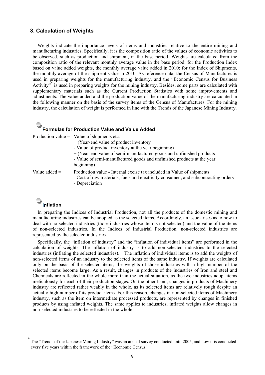### **8. Calculation of Weights**

Weights indicate the importance levels of items and industries relative to the entire mining and manufacturing industries. Specifically, it is the composition ratio of the values of economic activities to be observed, such as production and shipment, in the base period. Weights are calculated from the composition ratio of the relevant monthly average value in the base period: for the Production Index based on value added weights, the monthly average value added in 2010; for the Index of Shipments, the monthly average of the shipment value in 2010. As reference data, the Census of Manufactures is used in preparing weights for the manufacturing industry, and the "Economic Census for Business Activity<sup>7</sup> is used in preparing weights for the mining industry. Besides, some parts are calculated with supplementary materials such as the Current Production Statistics with some improvements and adjustments. The value added and the production value of the manufacturing industry are calculated in the following manner on the basis of the survey items of the Census of Manufactures. For the mining industry, the calculation of weight is performed in line with the Trends of the Japanese Mining Industry.

## **Formulas for Production Value and Value Added**

|                 | Production value = Value of shipments etc.                                                                                                                                    |
|-----------------|-------------------------------------------------------------------------------------------------------------------------------------------------------------------------------|
|                 | $+$ (Year-end value of product inventory                                                                                                                                      |
|                 | - Value of product inventory at the year beginning)                                                                                                                           |
|                 | + (Year-end value of semi-manufactured goods and unfinished products                                                                                                          |
|                 | - Value of semi-manufactured goods and unfinished products at the year<br>beginning)                                                                                          |
| Value added $=$ | Production value - Internal excise tax included in Value of shipments<br>- Cost of raw materials, fuels and electricity consumed, and subcontracting orders<br>- Depreciation |
|                 |                                                                                                                                                                               |

## **Inflation**

l

In preparing the Indices of Industrial Production, not all the products of the domestic mining and manufacturing industries can be adopted as the selected items. Accordingly, an issue arises as to how to deal with no-selected industries (those industries whose item is not selected) and the value of the items of non-selected industries. In the Indices of Industrial Production, non-selected industries are represented by the selected industries.

Specifically, the "inflation of industry" and the "inflation of individual items" are performed in the calculation of weights. The inflation of industry is to add non-selected industries to the selected industries (inflating the selected industries). The inflation of individual items is to add the weights of non-selected items of an industry to the selected items of the same industry. If weights are calculated only on the basis of the selected items, the weights of those industries with a high number of the selected items become large. As a result, changes in products of the industries of Iron and steel and Chemicals are reflected in the whole more than the actual situation, as the two industries adopt items meticulously for each of their production stages. On the other hand, changes in products of Machinery industry are reflected rather weakly in the whole, as its selected items are relatively rough despite an actually high number of its product items. For this reason, changes in non-selected items of Machinery industry, such as the item on intermediate processed products, are represented by changes in finished products by using inflated weights. The same applies to industries; inflated weights allow changes in non-selected industries to be reflected in the whole.

The "Trends of the Japanese Mining Industry" was an annual survey conducted until 2005, and now it is conducted every five years within the framework of the "Economic Census."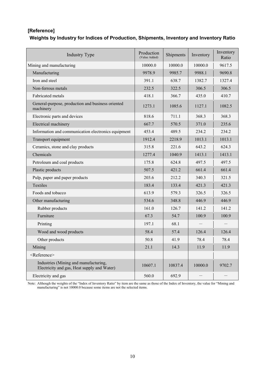## **[Reference] Weights by Industry for Indices of Production, Shipments, Inventory and Inventory Ratio**

| <b>Industry Type</b>                                                                 | Production<br>(Value Added) | Shipments | Inventory | Inventory<br>Ratio |
|--------------------------------------------------------------------------------------|-----------------------------|-----------|-----------|--------------------|
| Mining and manufacturing                                                             | 10000.0                     | 10000.0   | 10000.0   | 9617.5             |
| Manufacturing                                                                        | 9978.9                      | 9985.7    | 9988.1    | 9690.8             |
| Iron and steel                                                                       | 391.1                       | 638.7     | 1382.7    | 1327.4             |
| Non-ferrous metals                                                                   | 232.5                       | 322.5     | 306.5     | 306.5              |
| Fabricated metals                                                                    | 418.1                       | 366.7     | 435.0     | 410.7              |
| General-purpose, production and business oriented<br>machinery                       | 1273.1                      | 1085.6    | 1127.1    | 1082.5             |
| Electronic parts and devices                                                         | 818.6                       | 711.1     | 368.3     | 368.3              |
| Electrical machinery                                                                 | 667.7                       | 570.5     | 371.0     | 235.6              |
| Information and communication electronics equipment                                  | 453.4                       | 489.5     | 234.2     | 234.2              |
| Transport equipment                                                                  | 1912.4                      | 2218.9    | 1013.1    | 1013.1             |
| Ceramics, stone and clay products                                                    | 315.8                       | 221.6     | 643.2     | 624.3              |
| Chemicals                                                                            | 1277.4                      | 1040.9    | 1413.1    | 1413.1             |
| Petroleum and coal products                                                          | 175.8                       | 624.8     | 497.5     | 497.5              |
| Plastic products                                                                     | 507.5                       | 421.2     | 661.4     | 661.4              |
| Pulp, paper and paper products                                                       | 203.6                       | 212.2     | 340.3     | 321.5              |
| Textiles                                                                             | 183.4                       | 133.4     | 421.3     | 421.3              |
| Foods and tobacco                                                                    | 613.9                       | 579.3     | 326.5     | 326.5              |
| Other manufacturing                                                                  | 534.6                       | 348.8     | 446.9     | 446.9              |
| Rubber products                                                                      | 161.0                       | 126.7     | 141.2     | 141.2              |
| Furniture                                                                            | 67.3                        | 54.7      | 100.9     | 100.9              |
| Printing                                                                             | 197.1                       | 68.1      |           |                    |
| Wood and wood products                                                               | 58.4                        | 57.4      | 126.4     | 126.4              |
| Other products                                                                       | 50.8                        | 41.9      | 78.4      | 78.4               |
| Mining                                                                               | 21.1                        | 14.3      | 11.9      | 11.9               |
| <reference></reference>                                                              |                             |           |           |                    |
| Industries (Mining and manufacturing,<br>Electricity and gas, Heat supply and Water) | 10607.1                     | 10837.4   | 10000.0   | 9702.7             |
| Electricity and gas                                                                  | 560.0                       | 692.9     |           |                    |

Note: Although the weights of the "Index of Inventory Ratio" by item are the same as those of the Index of Inventory, the value for "Mining and manufacturing" is not 10000.0 because some items are not the selected items.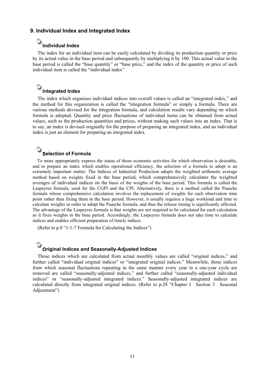### **9. Individual Index and Integrated Index**

## **Individual Index**

The index for an individual item can be easily calculated by dividing its production quantity or price by its actual value in the base period and subsequently by multiplying it by 100. This actual value in the base period is called the "base quantity" or "base price," and the index of the quantity or price of such individual item is called the "individual index".

## **a**Integrated Index

The index which organizes individual indices into overall values is called an "integrated index," and the method for this organization is called the "integration formula" or simply a formula. There are various methods devised for the integration formula, and calculation results vary depending on which formula is adopted. Quantity and price fluctuations of individual items can be obtained from actual values, such as the production quantities and prices, without making such values into an index. That is to say, an index is devised originally for the purpose of preparing an integrated index, and an individual index is just an element for preparing an integrated index.

### **Selection of Formula**

To more appropriately express the status of those economic activities for which observation is desirable, and to prepare an index which enables operational efficiency, the selection of a formula to adopt is an extremely important matter. The Indices of Industrial Production adopts the weighted arithmetic average method based on weights fixed in the base period, which comprehensively calculates the weighted averages of individual indices on the basis of the weights of the base period. This formula is called the Laspeyres formula, used for the CGPI and the CPI. Alternatively, there is a method called the Paasche formula whose comprehensive calculation involves the replacement of weights for each observation time point rather than fixing them in the base period. However, it usually requires a huge workload and time to calculate weights in order to adopt the Paasche formula, and thus the release timing is significantly affected. The advantage of the Laspeyres formula is that weights are not required to be calculated for each calculation as it fixes weights in the base period. Accordingly, the Laspeyres formula does not take time to calculate indices and enables efficient preparation of timely indices.

(Refer to p.8 "1-1-7 Formula for Calculating the Indices")

# **Original Indices and Seasonally-Adjusted Indices**

Those indices which are calculated from actual monthly values are called "original indices," and further called "individual original indices" or "integrated original indices." Meanwhile, those indices from which seasonal fluctuations repeating in the same manner every year in a one-year cycle are removed are called "seasonally-adjusted indices," and further called "seasonally-adjusted individual indices" or "seasonally-adjusted integrated indices." Seasonally-adjusted integrated indices are calculated directly from integrated original indices. (Refer to p.28 "Chapter I Section 3 Seasonal Adjustment")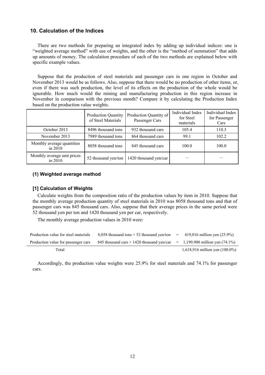### **10. Calculation of the Indices**

There are two methods for preparing an integrated index by adding up individual indices: one is "weighted average method" with use of weights, and the other is the "method of summation" that adds up amounts of money. The calculation procedure of each of the two methods are explained below with specific example values.

Suppose that the production of steel materials and passenger cars in one region in October and November 2013 would be as follows. Also, suppose that there would be no production of other items, or, even if there was such production, the level of its effects on the production of the whole would be ignorable. How much would the mining and manufacturing production in this region increase in November in comparison with the previous month? Compare it by calculating the Production Index based on the production value weights.

|                                        | <b>Production Quantity</b><br>of Steel Materials | Production Quantity of<br>Passenger Cars | Individual Index<br>for Steel<br>materials | Individual Index<br>for Passenger<br>Cars |
|----------------------------------------|--------------------------------------------------|------------------------------------------|--------------------------------------------|-------------------------------------------|
| October 2013                           | 8496 thousand tons                               | 932 thousand cars                        | 105.4                                      | 110.3                                     |
| November 2013                          | 7989 thousand tons<br>864 thousand cars          |                                          | 99.1                                       | 102.2                                     |
| Monthly average quantities<br>in 2010  | 8058 thousand tons                               | 845 thousand cars                        | 100.0                                      | 100.0                                     |
| Monthly average unit prices<br>in 2010 | 52 thousand yen/ton                              | 1420 thousand yen/car                    |                                            |                                           |

### **(1) Weighted average method**

### **[1] Calculation of Weights**

Calculate weights from the composition ratio of the production values by item in 2010. Suppose that the monthly average production quantity of steel materials in 2010 was 8058 thousand tons and that of passenger cars was 845 thousand cars. Also, suppose that their average prices in the same period were 52 thousand yen per ton and 1420 thousand yen per car, respectively.

The monthly average production values in 2010 were:

| Production value for steel materials | 8,058 thousand tons $\times$ 52 thousand yen/ton =                               | 419,016 million yen $(25.9\%)$    |
|--------------------------------------|----------------------------------------------------------------------------------|-----------------------------------|
| Production value for passenger cars  | 845 thousand cars $\times$ 1420 thousand yen/car = 1,199,900 million yen (74.1%) |                                   |
| Total                                |                                                                                  | 1,618,916 million yen $(100.0\%)$ |

Accordingly, the production value weights were 25.9% for steel materials and 74.1% for passenger cars.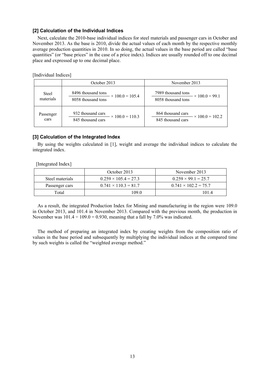### **[2] Calculation of the Individual Indices**

Next, calculate the 2010-base individual indices for steel materials and passenger cars in October and November 2013. As the base is 2010, divide the actual values of each month by the respective monthly average production quantities in 2010. In so doing, the actual values in the base period are called "base quantities" (or "base prices" in the case of a price index). Indices are usually rounded off to one decimal place and expressed up to one decimal place.

[Individual Indices]

|                           | October 2013                                                       | November 2013                                                     |
|---------------------------|--------------------------------------------------------------------|-------------------------------------------------------------------|
| <b>Steel</b><br>materials | 8496 thousand tons<br>$\times$ 100.0 = 105.4<br>8058 thousand tons | 7989 thousand tons<br>$\times$ 100.0 = 99.1<br>8058 thousand tons |
| Passenger<br>cars         | 932 thousand cars<br>$\times$ 100.0 = 110.3<br>845 thousand cars   | 864 thousand cars<br>$\times$ 100.0 = 102.2<br>845 thousand cars  |

### **[3] Calculation of the Integrated Index**

By using the weights calculated in [1], weight and average the individual indices to calculate the integrated index.

[Integrated Index]

|                 | October 2013                | November 2013               |
|-----------------|-----------------------------|-----------------------------|
| Steel materials | $0.259 \times 105.4 = 27.3$ | $0.259 \times 99.1 = 25.7$  |
| Passenger cars  | $0.741 \times 110.3 = 81.7$ | $0.741 \times 102.2 = 75.7$ |
| Total           | I 09 O                      | 1014                        |

As a result, the integrated Production Index for Mining and manufacturing in the region were 109.0 in October 2013, and 101.4 in November 2013. Compared with the previous month, the production in November was  $101.4 \div 109.0 = 0.930$ , meaning that a fall by 7.0% was indicated.

The method of preparing an integrated index by creating weights from the composition ratio of values in the base period and subsequently by multiplying the individual indices at the compared time by such weights is called the "weighted average method."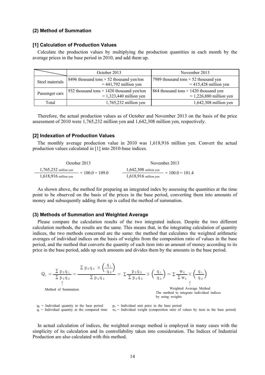#### **(2) Method of Summation**

#### **[1] Calculation of Production Values**

Calculate the production values by multiplying the production quantities in each month by the average prices in the base period in 2010, and add them up.

|                 | October 2013                                                                  | November 2013                                                             |
|-----------------|-------------------------------------------------------------------------------|---------------------------------------------------------------------------|
| Steel materials | 8496 thousand tons $\times$ 52 thousand yen/ton<br>$= 441,792$ million yen    | 17989 thousand tons $\times$ 52 thousand yen<br>$= 415,428$ million yen   |
| Passenger cars  | 932 thousand tons $\times$ 1420 thousand yen/ton<br>$= 1,323,440$ million yen | 864 thousand tons $\times$ 1420 thousand yen<br>$= 1,226,880$ million yen |
| Total           | $1,765,232$ million yen                                                       | $1,642,308$ million yen                                                   |

Therefore, the actual production values as of October and November 2013 on the basis of the price assessment of 2010 were 1,765,232 million yen and 1,642,308 million yen, respectively.

#### **[2] Indexation of Production Values**

The monthly average production value in 2010 was 1,618,916 million yen. Convert the actual production values calculated in [1] into 2010-base indices.

| October 2013                                      | November 2013                                                        |
|---------------------------------------------------|----------------------------------------------------------------------|
| $1,765,232$ million yen<br>$\times 100.0 = 109.0$ | $1,642,308$ million yen<br>$\frac{100 \text{ m}}{2}$ × 100.0 = 101.4 |
| $1,618,916$ million yen                           | $1,618,916$ million yen                                              |

As shown above, the method for preparing an integrated index by assessing the quantities at the time point to be observed on the basis of the prices in the base period, converting them into amounts of money and subsequently adding them up is called the method of summation.

#### **(3) Methods of Summation and Weighted Average**

Please compare the calculation results of the two integrated indices. Despite the two different calculation methods, the results are the same. This means that, in the integrating calculation of quantity indices, the two methods concerned are the same: the method that calculates the weighted arithmetic averages of individual indices on the basis of weights from the composition ratio of values in the base period, and the method that converts the quantity of each item into an amount of money according to its price in the base period, adds up such amounts and divides them by the amounts in the base period.

$$
Q_{t} = \frac{\sum p_{0} q_{t}}{\sum p_{0} q_{0}} = \frac{\sum p_{0} q_{0} \times \left(\frac{q_{t}}{q_{0}}\right)}{\sum p_{0} q_{0}} = \sum \frac{p_{0} q_{0}}{\sum p_{0} q_{0}} \times \left(\frac{q_{t}}{q_{0}}\right) = \sum \frac{w_{0}}{\sum w_{0}} \times \left(\frac{q_{t}}{q_{0}}\right)
$$
\n
$$
\uparrow
$$
\nMethod of Summation

\nThe method to integrate individual indices by using weights

 $q_0$  = Individual quantity in the base period  $p_0$  = Individual unit price in the base period  $q_t$  = Individual quantity at the compared time  $w_0$  = Individual weight (composition ratio of  $w_0$  = Individual weight (composition ratio of values by item in the base period)

In actual calculation of indices, the weighted average method is employed in many cases with the simplicity of its calculation and its controllability taken into consideration. The Indices of Industrial Production are also calculated with this method.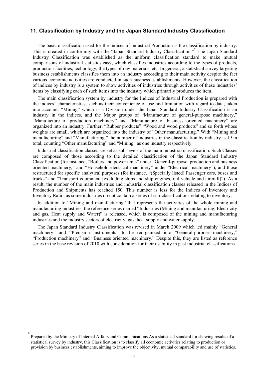### **11. Classification by Industry and the Japan Standard Industry Classification**

The basic classification used for the Indices of Industrial Production is the classification by industry. This is created in conformity with the "Japan Standard Industry Classification."\* The Japan Standard Industry Classification was established as the uniform classification standard to make mutual comparisons of industrial statistics easy, which classifies industries according to the types of products, production facilities, technology, the types of raw materials, etc. In general, a statistical survey targeting business establishments classifies them into an industry according to their main activity despite the fact various economic activities are conducted in such business establishments. However, the classification of indices by industry is a system to show activities of industries through activities of these industries' items by classifying each of such items into the industry which primarily produces the item.

The main classification system by industry for the Indices of Industrial Production is prepared with the indices' characteristics, such as their convenience of use and limitation with regard to data, taken into account. "Mining" which is a Division under the Japan Standard Industry Classification is an industry in the indices, and the Major groups of "Manufacture of general-purpose machinery," "Manufacture of production machinery" and "Manufacture of business oriented machinery" are organized into an industry. Further, "Rubber products" "Wood and wood products" and so forth whose weights are small, which are organized into the industry of "Other manufacturing." With "Mining and manufacturing" and "Manufacturing," the number of industries in the classification by industry is 19 in total, counting "Other manufacturing" and "Mining" as one industry respectively.

Industrial classification classes are set as sub-levels of the main industrial classification. Such Classes are composed of those according to the detailed classification of the Japan Standard Industry Classification (for instance, "Boilers and power units" under "General-purpose, production and business oriented machinery," and "Household electrical machinery" under "Electrical machinery"), and those restructured for specific analytical purposes (for instance, "(Specially listed) Passenger cars, buses and trucks" and "Transport equipment [excluding ships and ship engines, rail vehicle and aircraft]"). As a result, the number of the main industries and industrial classification classes released in the Indices of Production and Shipments has reached 150. This number is less for the Indices of Inventory and Inventory Ratio, as some industries do not contain a series of sub-classifications relating to inventory.

In addition to "Mining and manufacturing" that represents the activities of the whole mining and manufacturing industries, the reference series named "Industries (Mining and manufacturing, Electricity and gas, Heat supply and Water)" is released, which is composed of the mining and manufacturing industries and the industry sectors of electricity, gas, heat supply and water supply.

The Japan Standard Industry Classification was revised in March 2009 which led mainly "General machinery" and "Precision instruments" to be reorganized into "General-purpose machinery," "Production machinery" and "Business oriented machinery." Despite this, they are listed as reference series in the base revision of 2010 with consideration for their usability in past industrial classifications.

 $\overline{\phantom{a}}$ 

<sup>\*</sup> Prepared by the Ministry of Internal Affairs and Communications As a statistical standard for showing results of a statistical survey by industry, this Classification is to classify all economic activities relating to production or provision by business establishments, aiming to improve the objectivity, mutual comparability and use of statistics.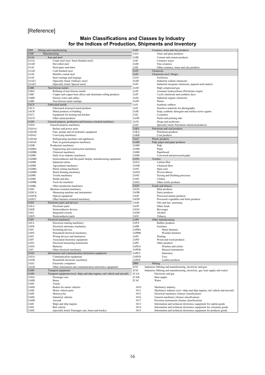## [Reference]

### **Main Classifications and Classes by Industry for the Indices of Production, Shipments and Inventory**

| 2000             | Mining and manufacturing                                                          | 2AI0             | Ceramics, stone and clay products                                              |
|------------------|-----------------------------------------------------------------------------------|------------------|--------------------------------------------------------------------------------|
| 2A00             | Manufacturing                                                                     | 2AIA             | Glass and glass products                                                       |
| 2AA0             | Iron and steel                                                                    | 2AIB             | Cement and cement products                                                     |
| 2AAA             | Crude steel (incl. Semi-finished steel)                                           | 2AIC             | Ceramics wares                                                                 |
| 2AAB             | Hot rolled steel                                                                  | 2AID             | Fine ceramics                                                                  |
| 2AAC             | Steel pipes and tubes                                                             | 2AIE             | Other ceramics, stone and clay products                                        |
| 2AAD             | Cold finished steel                                                               | 2AJ0             | Chemicals                                                                      |
| 2AAE             | Metallic coated steel                                                             | 2AJ0             | Chemicals (excl. Drugs)                                                        |
| 2AAF             | Steel castings and forgings                                                       | 2AJA             | Fertilizers                                                                    |
| 2AAZ1            | (Specially listed: Ordinary steel)                                                | 2AJB             | Industrial sodium chemicals                                                    |
| 2AAZ2            | (Specially listed: Special steel)                                                 | 2AJC             | Industrial inorganic chemicals, pigment and catalyst                           |
| 2AB0             | Non-ferrous metals                                                                | 2AJD             | High compressed gas                                                            |
| 2ABA             | Refining of non-ferrous metals                                                    | 2AJE             | Aromatic hydrocarbons (Petroleum origin)                                       |
| 2ABC             | Copper and copper-base alloys and aluminum rolling products                       | 2AJF             | Cyclic chemicals and synthetic dyes                                            |
| 2ABD<br>2ABE     | Electric wires and cables<br>Non-ferrous metal castings                           | 2AJG             | Industrial organic chemicals<br>Plastic                                        |
| 2AC0             | Fabricated metals                                                                 | 2AJH<br>2AJI     | Synthetic rubbers                                                              |
| 2ACA             | Fabricated structural metal products                                              | 2AJJ             | Sensitive materials for photography                                            |
| 2ACB             | Metal products of building                                                        | 2AJK             | Soap, synthetic detergent and surface-active agents                            |
| 2ACC             | Equipment for heating and kitchen                                                 | 2AJL             | Cosmetics                                                                      |
| 2ACD             | Other metal products                                                              | 2AJM             | Paints and printing inks                                                       |
| 2AD0             | General-purpose, production and business oriented machinery                       | 2AJN             | Drugs and medicines                                                            |
| 2ADA             | General-purpose machinery                                                         | 2AJZ             | Specially listed: Petroleum chemical products)                                 |
| 2ADAA            | Boilers and power units                                                           | 2AK0             | Petroleum and coal products                                                    |
| 2ADAB            | Fans, pumps and oil hydraulic equipment                                           | 2AKA             | Petroleum products                                                             |
| 2ADAC            | Conveying machinery                                                               | 2AKB             | Coal products                                                                  |
| 2ADAD            | Refrigerating machines and appliances                                             | 2AL0             | Plastic products                                                               |
| 2ADAE            | Parts of general-purpose machinery                                                | 2AM0             | Pulp, paper and paper products                                                 |
| 2ADB             | Production machinery                                                              | 2AM0             | Pulp                                                                           |
| 2ADBA            | Engineering and construction machinery                                            | 2AM0             | Paper                                                                          |
| 2ADBB            | Chemical machinery                                                                | 2AM <sub>0</sub> | Paperboard                                                                     |
| 2ADBC            | Daily lives industry machinery                                                    | 2AM <sub>0</sub> | Converted and processed paper                                                  |
| 2ADBD            | Semiconductor and flat-panel display manufacturing equipment                      | 2AN <sub>0</sub> | Textiles                                                                       |
| 2ADBE            | Industrial robots                                                                 | 2ANA             | Carbon fiber                                                                   |
| 2ADBF            | Agricultural machinery                                                            | 2ANB             | Chemical fiber                                                                 |
| 2ADBG            | Metal cutting machinery                                                           | 2ANC             | Spun yarn                                                                      |
| 2ADBH            | Metal forming machinery                                                           | 2AND             | Woven fabrics                                                                  |
| 2ADBI            | Textile machinery                                                                 | 2ANE             | Dyeing and finishing processes                                                 |
| 2ADBJ            | Molds and dies                                                                    | 2ANF             | Clothes                                                                        |
| 2ADBK            | Tools for machines                                                                | 2ANG             | Other textile products                                                         |
| 2ADBL<br>2ADC    | Other production machinery                                                        | 2AO0<br>2AOA     | Foods and tobacco<br>Meat products                                             |
| 2ADCA            | Business oriented machinery<br>Measuring machine and instruments                  | 2AOB             | Dairy products                                                                 |
| 2ADCB            | Optical equipment                                                                 | 2AOC             | Processed marine products                                                      |
| 2ADCC            | Other business oriented machinery                                                 | 2AOD             | Processed vegetables and fruits products                                       |
| 2AE0             | Electronic parts and devices                                                      | 2AOE             | Oils and fats, seasoning                                                       |
| 2AEA             | Electronic parts                                                                  | 2AOF             | Other foods                                                                    |
| 2AEB             | Semiconductor devices                                                             | 2AOG             | Beverages                                                                      |
| 2AEC             | Integrated circuits                                                               | 2AOH             | Alcohol                                                                        |
| 2AED             | Semiconductor parts                                                               | 2AOI             | Tobacco                                                                        |
| 2AF <sub>0</sub> | Electrical machinery                                                              | 2AP0             | Other manufacturing                                                            |
| 2AFA             | Electrical rotating machinery                                                     | 2APA             | Rubber products                                                                |
| 2AFB             | Electrical stationary machinery                                                   | 2APB             | Furniture                                                                      |
| 2AFC             | Switching devices                                                                 | 2APBA            | Metal furniture                                                                |
| 2AFD             | Household electrical machinery                                                    | 2APBB            | Wooden furniture                                                               |
| 2AFE             | Wiring devices and luminaries                                                     | 2APC             | Printing                                                                       |
| 2AFF             | Associated electronic equipment                                                   | 2APD             | Wood and wood products                                                         |
| 2AFG             | Electrical measuring instruments                                                  | 2APE             | Other products<br>Watches and clocks                                           |
| 2AFH             | <b>Batteries</b>                                                                  | 2APEA            | Musical instruments                                                            |
| 2AFI<br>2AG0     | Other electrical machinery<br>Information and communication electronics equipment | 2APEB<br>2APEC   | Stationery                                                                     |
| 2AGA             | Communication equipment                                                           | 2APED            |                                                                                |
| 2AGB             | Household electronic machinery                                                    | 2APEE            | Toys<br>Leather products                                                       |
| 2AGC             | Electronic computers                                                              | 2B00             | Mining                                                                         |
| 2AGD             | Other information and communication electronics equipment                         | 2C01             | Industries (Mining and manufacturing, electricity and gas)                     |
| 2AH <sub>0</sub> | Transport equipment                                                               | 2C02             | Industries (Mining and manufacturing, electricity, gas, heat supply and water) |
| 2AH <sub>0</sub> | Transport equipment (excl. ships and ship engines, rail vehicle and aircraft)     | 2CAA             | Electricity and gas                                                            |
| 2AHA             | Passenger cars                                                                    | 2CAB             | Heat supply                                                                    |
| 2AHB             | <b>Buses</b>                                                                      | 2CAC             | Water                                                                          |
| 2AHC             | Trucks                                                                            |                  |                                                                                |
| 2AHD             | Bodies for motor vehicles                                                         | 3410             | Machinery industry                                                             |
| 2AHE             | Motor vehicle parts                                                               | 3411             | Machinery industry (excl. ships and ship engines, rail vehicle and aircraft)   |
| 2AHF             | Motorcycles                                                                       | 3412             | Electrical machinery (former classification)                                   |
| 2AHG             | Industrial vehicles                                                               | 3416             | General machinery (former classification)                                      |
| 2AHH             | Aircraft                                                                          | 3417             | Precision instruments (former classification)                                  |
| 2AHI             | Ships and ship engines                                                            | 3413             | Information and technical electronics equipment for capital goods              |
| 2AHJ             | Rail vehicle                                                                      | 3414             | Information and technical electronics equipment for consumer goods             |
| 2AHZ             | (specially listed: Passenger cars, buses and trucks)                              | 3415             | Information and technical electronics equipment for producer goods             |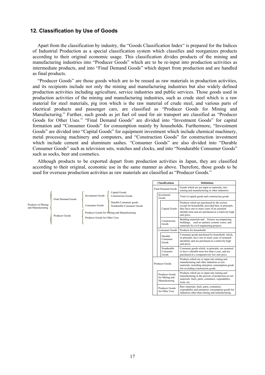### **12. Classification by Use of Goods**

Apart from the classification by industry, the "Goods Classification Index" is prepared for the Indices of Industrial Production as a special classification system which classifies and reorganizes products according to their original economic usage. This classification divides products of the mining and manufacturing industries into "Producer Goods" which are to be re-input into production activities as intermediate products, and into "Final Demand Goods" which depart from production and are handled as final products.

"Producer Goods" are those goods which are to be reused as raw materials in production activities, and its recipients include not only the mining and manufacturing industries but also widely defined production activities including agriculture, service industries and public services. Those goods used in production activities of the mining and manufacturing industries, such as crude steel which is a raw material for steel materials, pig iron which is the raw material of crude steel, and various parts of electrical products and passenger cars, are classified as "Producer Goods for Mining and Manufacturing." Further, such goods as jet fuel oil used for air transport are classified as "Producer Goods for Other Uses." "Final Demand Goods" are divided into "Investment Goods" for capital formation and "Consumer Goods" for consumption mainly by households. Furthermore, "Investment Goods" are divided into "Capital Goods" for equipment investment which include chemical machinery, metal processing machinery and computers, and "Construction Goods" for construction investment which include cement and aluminum sashes. "Consumer Goods" are also divided into "Durable Consumer Goods" such as television sets, watches and clocks, and into "Nondurable Consumer Goods" such as socks, beer and cosmetics.

Although products to be exported depart from production activities in Japan, they are classified according to their original, economic use in the same manner as above. Therefore, those goods to be used for overseas production activities as raw materials are classified as "Producer Goods."

**Classifications Definitions** 

|                                         |                           |                                                 | Capital Goods                                                                                      | <b>Final Demand Goods</b>                         | Goods which are not input as materials, into<br>mining and manufacturing or other industries.                                                                                                                         |
|-----------------------------------------|---------------------------|-------------------------------------------------|----------------------------------------------------------------------------------------------------|---------------------------------------------------|-----------------------------------------------------------------------------------------------------------------------------------------------------------------------------------------------------------------------|
|                                         | <b>Final Demand Goods</b> | <b>Investment Goods</b>                         | <b>Construction Goods</b>                                                                          | Investment<br>Goods                               | Total of capital goods and construction goods                                                                                                                                                                         |
| Products of Mining<br>and Manufacturing | Producer Goods            | Consumer Goods<br>Producer Goods for Other Uses | Durable Consumer goods<br>Nondurable Consumer Goods<br>Producer Goods for Mining and Manufacturing | Capital Goods                                     | Products which are purchased by the sectors<br>except for households, provided that, in principle,<br>they have one or more years of an assumed<br>durable term and are purchased at a relatively high<br>unit price. |
|                                         |                           |                                                 |                                                                                                    | Construction<br>Goods                             | Building materials and fixtures accompanying<br>buildings, such as sanitary ceramic wares, and<br>materials for civil engineering projects                                                                            |
|                                         |                           |                                                 |                                                                                                    | <b>Consumer Goods</b>                             | Products for households                                                                                                                                                                                               |
|                                         |                           |                                                 |                                                                                                    | Durable<br>Consumer<br>Goods                      | Consumer goods purchased by household, which,<br>in principle, have one or more years of assumed<br>durability and are purchased at a relatively high<br>unit price.                                                  |
|                                         |                           |                                                 |                                                                                                    | Nondurable<br>Consumer<br>Goods                   | Consumer goods which, in principle, are assumed<br>to have a durable term less than a year, and are<br>purchased at a comparatively low unit price.                                                                   |
|                                         |                           |                                                 |                                                                                                    | Producer Goods                                    | Products which are re-input into mining and<br>manufacturing and other industries as raw<br>materials, including enterprise consumption goods<br>but excluding construction goods                                     |
|                                         |                           |                                                 |                                                                                                    | Producer Goods<br>for Mining and<br>Manufacturing | Products which are re-input into mining and<br>manufacturing in the process of production as raw<br>materials, fuels, parts, containers, expendables,<br>tools, etc.                                                  |
|                                         |                           |                                                 |                                                                                                    | Producer Goods<br>for Other Uses                  | Raw materials, fuels, parts, containers,<br>expendables and enterprise consumption goods for<br>industries other than mining and manufacturing                                                                        |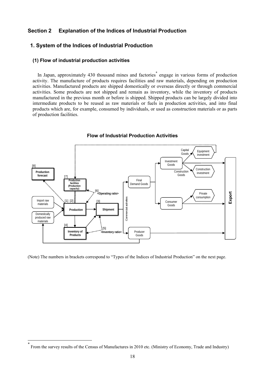### **Section 2 Explanation of the Indices of Industrial Production**

### **1. System of the Indices of Industrial Production**

### **(1) Flow of industrial production activities**

In Japan, approximately 430 thousand mines and factories<sup>\*</sup> engage in various forms of production activity. The manufacture of products requires facilities and raw materials, depending on production activities. Manufactured products are shipped domestically or overseas directly or through commercial activities. Some products are not shipped and remain as inventory, while the inventory of products manufactured in the previous month or before is shipped. Shipped products can be largely divided into intermediate products to be reused as raw materials or fuels in production activities, and into final products which are, for example, consumed by individuals, or used as construction materials or as parts of production facilities.



### **Flow of Industrial Production Activities**

(Note) The numbers in brackets correspond to "Types of the Indices of Industrial Production" on the next page.

l

<sup>\*</sup> From the survey results of the Census of Manufactures in 2010 etc. (Ministry of Economy, Trade and Industry)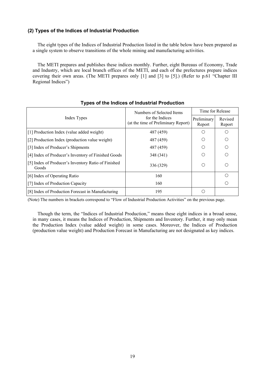### **(2) Types of the Indices of Industrial Production**

The eight types of the Indices of Industrial Production listed in the table below have been prepared as a single system to observe transitions of the whole mining and manufacturing activities.

The METI prepares and publishes these indices monthly. Further, eight Bureaus of Economy, Trade and Industry, which are local branch offices of the METI, and each of the prefectures prepare indices covering their own areas. (The METI prepares only [1] and [3] to [5].) (Refer to p.61 "Chapter III Regional Indices")

|                                                              | Numbers of Selected Items                              | Time for Release      |                   |  |
|--------------------------------------------------------------|--------------------------------------------------------|-----------------------|-------------------|--|
| Index Types                                                  | for the Indices<br>(at the time of Preliminary Report) | Preliminary<br>Report | Revised<br>Report |  |
| [1] Production Index (value added weight)                    | 487 (459)                                              | ∩                     | ∩                 |  |
| [2] Production Index (production value weight)               | 487 (459)                                              | ∩                     | ∩                 |  |
| [3] Index of Producer's Shipments                            | 487 (459)                                              |                       | ∩                 |  |
| [4] Index of Producer's Inventory of Finished Goods          | 348 (341)                                              |                       | ∩                 |  |
| [5] Index of Producer's Inventory Ratio of Finished<br>Goods | 336 (329)                                              | O                     | ∩                 |  |
| [6] Index of Operating Ratio                                 | 160                                                    |                       | $\bigcap$         |  |
| [7] Index of Production Capacity                             | 160                                                    |                       | ∩                 |  |
| [8] Index of Production Forecast in Manufacturing            | 195                                                    | ∩                     |                   |  |

### **Types of the Indices of Industrial Production**

(Note) The numbers in brackets correspond to "Flow of Industrial Production Activities" on the previous page.

Though the term, the "Indices of Industrial Production," means these eight indices in a broad sense, in many cases, it means the Indices of Production, Shipments and Inventory. Further, it may only mean the Production Index (value added weight) in some cases. Moreover, the Indices of Production (production value weight) and Production Forecast in Manufacturing are not designated as key indices.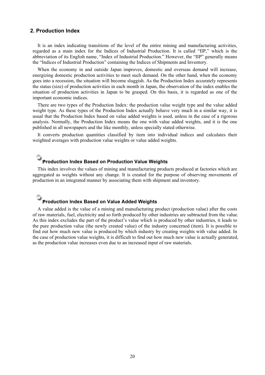### **2. Production Index**

It is an index indicating transitions of the level of the entire mining and manufacturing activities, regarded as a main index for the Indices of Industrial Production. It is called "IIP," which is the abbreviation of its English name, "Index of Industrial Production." However, the "IIP" generally means the "Indices of Industrial Production" containing the Indices of Shipments and Inventory.

When the economy in and outside Japan improves, domestic and overseas demand will increase, energizing domestic production activities to meet such demand. On the other hand, when the economy goes into a recession, the situation will become sluggish. As the Production Index accurately represents the status (size) of production activities in each month in Japan, the observation of the index enables the situation of production activities in Japan to be grasped. On this basis, it is regarded as one of the important economic indices.

There are two types of the Production Index: the production value weight type and the value added weight type. As these types of the Production Index actually behave very much in a similar way, it is usual that the Production Index based on value added weights is used, unless in the case of a rigorous analysis. Normally, the Production Index means the one with value added weights, and it is the one published in all newspapers and the like monthly, unless specially stated otherwise.

It converts production quantities classified by item into individual indices and calculates their weighted averages with production value weights or value added weights.

# **Production Index Based on Production Value Weights**

This index involves the values of mining and manufacturing products produced at factories which are aggregated as weights without any change. It is created for the purpose of observing movements of production in an integrated manner by associating them with shipment and inventory.

## **Production Index Based on Value Added Weights**

A value added is the value of a mining and manufacturing product (production value) after the costs of raw materials, fuel, electricity and so forth produced by other industries are subtracted from the value. As this index excludes the part of the product's value which is produced by other industries, it leads to the pure production value (the newly created value) of the industry concerned (item). It is possible to find out how much new value is produced by which industry by creating weights with value added. In the case of production value weights, it is difficult to find out how much new value is actually generated, as the production value increases even due to an increased input of raw materials.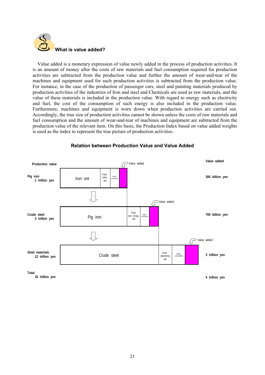

Value added is a monetary expression of value newly added in the process of production activities. It is an amount of money after the costs of raw materials and fuel consumption required for production activities are subtracted from the production value and further the amount of wear-and-tear of the machines and equipment used for such production activities is subtracted from the production value. For instance, in the case of the production of passenger cars, steel and painting materials produced by production activities of the industries of Iron and steel and Chemicals are used as raw materials, and the value of these materials is included in the production value. With regard to energy such as electricity and fuel, the cost of the consumption of such energy is also included in the production value. Furthermore, machines and equipment is worn down when production activities are carried out. Accordingly, the true size of production activities cannot be shown unless the costs of raw materials and fuel consumption and the amount of wear-and-tear of machines and equipment are subtracted from the production value of the relevant item. On this basis, the Production Index based on value added weights is used as the index to represent the true picture of production activities.



### **Relation between Production Value and Value Added**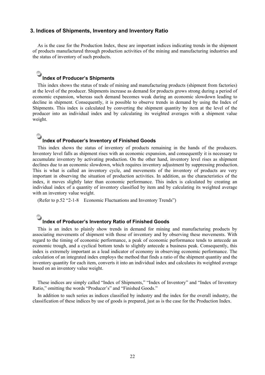### **3. Indices of Shipments, Inventory and Inventory Ratio**

As is the case for the Production Index, these are important indices indicating trends in the shipment of products manufactured through production activities of the mining and manufacturing industries and the status of inventory of such products.

## **Index of Producer's Shipments**

This index shows the status of trade of mining and manufacturing products (shipment from factories) at the level of the producer. Shipments increase as demand for products grows strong during a period of economic expansion, whereas such demand becomes weak during an economic slowdown leading to decline in shipment. Consequently, it is possible to observe trends in demand by using the Index of Shipments. This index is calculated by converting the shipment quantity by item at the level of the producer into an individual index and by calculating its weighted averages with a shipment value weight.

## **a** Index of Producer's Inventory of Finished Goods

This index shows the status of inventory of products remaining in the hands of the producers. Inventory level falls as shipment rises with an economic expansion, and consequently it is necessary to accumulate inventory by activating production. On the other hand, inventory level rises as shipment declines due to an economic slowdown, which requires inventory adjustment by suppressing production. This is what is called an inventory cycle, and movements of the inventory of products are very important in observing the situation of production activities. In addition, as the characteristics of the index, it moves slightly later than economic performance. This index is calculated by creating an individual index of a quantity of inventory classified by item and by calculating its weighted average with an inventory value weight.

(Refer to p.52 "2-1-8 Economic Fluctuations and Inventory Trends")

# **OLITER INDUCATE: Inventory Ratio of Finished Goods**

This is an index to plainly show trends in demand for mining and manufacturing products by associating movements of shipment with those of inventory and by observing these movements. With regard to the timing of economic performance, a peak of economic performance tends to antecede an economic trough, and a cyclical bottom tends to slightly antecede a business peak. Consequently, this index is extremely important as a lead indicator of economy in observing economic performance. The calculation of an integrated index employs the method that finds a ratio of the shipment quantity and the inventory quantity for each item, converts it into an individual index and calculates its weighted average based on an inventory value weight.

These indices are simply called "Index of Shipments," "Index of Inventory" and "Index of Inventory Ratio," omitting the words "Producer's" and "Finished Goods."

In addition to such series as indices classified by industry and the index for the overall industry, the classification of these indices by use of goods is prepared, just as is the case for the Production Index.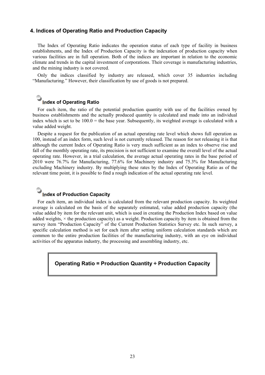### **4. Indices of Operating Ratio and Production Capacity**

The Index of Operating Ratio indicates the operation status of each type of facility in business establishments, and the Index of Production Capacity is the indexation of production capacity when various facilities are in full operation. Both of the indices are important in relation to the economic climate and trends in the capital investment of corporations. Their coverage is manufacturing industries, and the mining industry is not covered.

Only the indices classified by industry are released, which cover 35 industries including "Manufacturing." However, their classification by use of goods is not prepared.

# **a** Index of Operating Ratio

For each item, the ratio of the potential production quantity with use of the facilities owned by business establishments and the actually produced quantity is calculated and made into an individual index which is set to be 100.0 = the base year. Subsequently, its weighted average is calculated with a value added weight.

Despite a request for the publication of an actual operating rate level which shows full operation as 100, instead of an index form, such level is not currently released. The reason for not releasing it is that although the current Index of Operating Ratio is very much sufficient as an index to observe rise and fall of the monthly operating rate, its precision is not sufficient to examine the overall level of the actual operating rate. However, in a trial calculation, the average actual operating rates in the base period of 2010 were 76.7% for Manufacturing, 77.6% for Machinery industry and 75.3% for Manufacturing excluding Machinery industry. By multiplying these rates by the Index of Operating Ratio as of the relevant time point, it is possible to find a rough indication of the actual operating rate level.

## **Index of Production Capacity**

For each item, an individual index is calculated from the relevant production capacity. Its weighted average is calculated on the basis of the separately estimated, value added production capacity (the value added by item for the relevant unit, which is used in creating the Production Index based on value added weights,  $\times$  the production capacity) as a weight. Production capacity by item is obtained from the survey item "Production Capacity" of the Current Production Statistics Survey etc. In such survey, a specific calculation method is set for each item after setting uniform calculation standards which are common to the entire production facilities of the manufacturing industry, with an eye on individual activities of the apparatus industry, the processing and assembling industry, etc.

### **Operating Ratio = Production Quantity ÷ Production Capacity**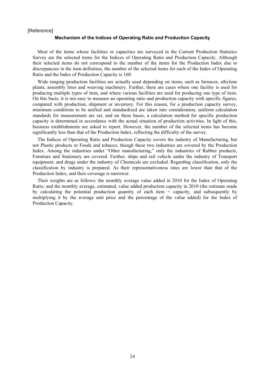#### [Reference]

### **Mechanism of the Indices of Operating Ratio and Production Capacity**

Most of the items whose facilities or capacities are surveyed in the Current Production Statistics Survey are the selected items for the Indices of Operating Ratio and Production Capacity. Although their selected items do not correspond to the number of the items for the Production Index due to discrepancies in the item definition, the number of the selected items for each of the Index of Operating Ratio and the Index of Production Capacity is 160.

Wide ranging production facilities are actually used depending on items, such as furnaces, ethylene plants, assembly lines and weaving machinery. Further, there are cases where one facility is used for producing multiple types of item, and where various facilities are used for producing one type of item. On this basis, it is not easy to measure an operating ratio and production capacity with specific figures, compared with production, shipment or inventory. For this reason, for a production capacity survey, minimum conditions to be unified and standardized are taken into consideration, uniform calculation standards for measurement are set, and on these bases, a calculation method for specific production capacity is determined in accordance with the actual situation of production activities. In light of this, business establishments are asked to report. However, the number of the selected items has become significantly less than that of the Production Index, reflecting the difficulty of the survey.

The Indices of Operating Ratio and Production Capacity covers the industry of Manufacturing, but not Plastic products or Foods and tobacco, though these two industries are covered by the Production Index. Among the industries under "Other manufacturing," only the industries of Rubber products, Furniture and Stationery are covered. Further, ships and rail vehicle under the industry of Transport equipment, and drugs under the industry of Chemicals are excluded. Regarding classification, only the classification by industry is prepared. As their representativeness rates are lower than that of the Production Index, and their coverage is narrower.

Their weights are as follows: the monthly average value added in 2010 for the Index of Operating Ratio; and the monthly average, estimated, value added production capacity in 2010 (the estimate made by calculating the potential production quantity of each item = capacity, and subsequently by multiplying it by the average unit price and the percentage of the value added) for the Index of Production Capacity.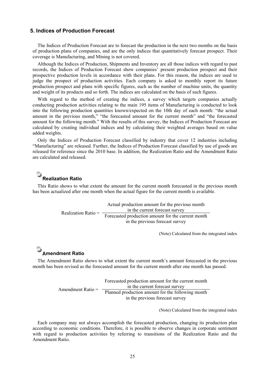### **5. Indices of Production Forecast**

The Indices of Production Forecast are to forecast the production in the next two months on the basis of production plans of companies, and are the only indices that quantitatively forecast prospect. Their coverage is Manufacturing, and Mining is not covered.

Although the Indices of Production, Shipments and Inventory are all those indices with regard to past records, the Indices of Production Forecast show companies' present production prospect and their prospective production levels in accordance with their plans. For this reason, the indices are used to judge the prospect of production activities. Each company is asked to monthly report its future production prospect and plans with specific figures, such as the number of machine units, the quantity and weight of its products and so forth. The indices are calculated on the basis of such figures.

With regard to the method of creating the indices, a survey which targets companies actually conducting production activities relating to the main 195 items of Manufacturing is conducted to look into the following production quantities known/expected on the 10th day of each month: "the actual amount in the previous month," "the forecasted amount for the current month" and "the forecasted amount for the following month." With the results of this survey, the Indices of Production Forecast are calculated by creating individual indices and by calculating their weighted averages based on value added weights.

Only the Indices of Production Forecast classified by industry that cover 12 industries including "Manufacturing" are released. Further, the Indices of Production Forecast classified by use of goods are released for reference since the 2010 base. In addition, the Realization Ratio and the Amendment Ratio are calculated and released.

## **Realization Ratio**

This Ratio shows to what extent the amount for the current month forecasted in the previous month has been actualized after one month when the actual figure for the current month is available.

> Realization Ratio  $=$   $\frac{1}{2}$  Forecasted production amount for the current month Actual production amount for the previous month in the current forecast survey in the previous forecast survey

> > (Note) Calculated from the integrated index

## **Amendment Ratio**

The Amendment Ratio shows to what extent the current month's amount forecasted in the previous month has been revised as the forecasted amount for the current month after one month has passed.

> Amendment Ratio = Forecasted production amount for the current month in the current forecast survey Planned production amount for the following month in the previous forecast survey

> > (Note) Calculated from the integrated index

Each company may not always accomplish the forecasted production, changing its production plan according to economic conditions. Therefore, it is possible to observe changes in corporate sentiment with regard to production activities by referring to transitions of the Realization Ratio and the Amendment Ratio.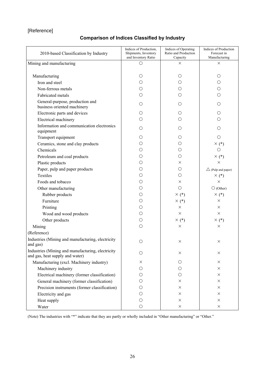### [Reference]

## **Comparison of Indices Classified by Industry**

| 2010-based Classification by Industry                                                | Indices of Production,<br>Shipments, Inventory<br>and Inventory Ratio | Indices of Operating<br>Ratio and Production<br>Capacity | Indices of Production<br>Forecast in<br>Manufacturing |
|--------------------------------------------------------------------------------------|-----------------------------------------------------------------------|----------------------------------------------------------|-------------------------------------------------------|
| Mining and manufacturing                                                             | О                                                                     | X                                                        | $\times$                                              |
|                                                                                      |                                                                       |                                                          |                                                       |
| Manufacturing                                                                        | O                                                                     | О                                                        | O                                                     |
| Iron and steel                                                                       | О                                                                     | Ω                                                        | $\bigcirc$                                            |
| Non-ferrous metals                                                                   | Ο                                                                     | Ω                                                        | O                                                     |
| Fabricated metals                                                                    | $\bigcirc$                                                            | $\bigcirc$                                               | $\bigcirc$                                            |
| General-purpose, production and<br>business oriented machinery                       | Ω                                                                     | Ω                                                        | Ω                                                     |
| Electronic parts and devices                                                         | Ω                                                                     | Ω                                                        | О                                                     |
| Electrical machinery                                                                 | О                                                                     | ∩                                                        | О                                                     |
| Information and communication electronics<br>equipment                               | О                                                                     | Ω                                                        | О                                                     |
| Transport equipment                                                                  | О                                                                     | O                                                        | $\bigcirc$                                            |
| Ceramics, stone and clay products                                                    | O                                                                     | О                                                        | $\times$ (*)                                          |
| Chemicals                                                                            | О                                                                     | O                                                        | $\circ$                                               |
| Petroleum and coal products                                                          | О                                                                     | O                                                        | $\times$ (*)                                          |
| Plastic products                                                                     | О                                                                     | $\times$                                                 | $\times$                                              |
| Paper, pulp and paper products                                                       | О                                                                     | О                                                        | $\triangle$ (Pulp and paper)                          |
| Textiles                                                                             | О                                                                     | $\bigcirc$                                               | $\times$ (*)                                          |
| Foods and tobacco                                                                    | О                                                                     | ×                                                        | $\times$                                              |
| Other manufacturing                                                                  | О                                                                     | $\bigcirc$                                               | $\bigcirc$ (Other)                                    |
| Rubber products                                                                      | O                                                                     | $\times$ (*)                                             | $\times$ (*)                                          |
| Furniture                                                                            | Ο                                                                     | $\times$ (*)                                             | X                                                     |
| Printing                                                                             | О                                                                     | ×                                                        | $\times$                                              |
| Wood and wood products                                                               | О                                                                     | $\times$                                                 | $\times$                                              |
| Other products                                                                       | О                                                                     | $\times$ (*)                                             | $\times$ (*)                                          |
| Mining                                                                               | $\bigcirc$                                                            | ×                                                        | X                                                     |
| (Reference)                                                                          |                                                                       |                                                          |                                                       |
| Industries (Mining and manufacturing, electricity<br>and gas)                        | $\bigcirc$                                                            | ×                                                        | $\times$                                              |
| Industries (Mining and manufacturing, electricity<br>and gas, heat supply and water) | О                                                                     | X                                                        | X                                                     |
| Manufacturing (excl. Machinery industry)                                             | X                                                                     | О                                                        | $\times$                                              |
| Machinery industry                                                                   | О                                                                     | О                                                        | $\times$                                              |
| Electrical machinery (former classification)                                         | O                                                                     | O                                                        | $\times$                                              |
| General machinery (former classification)                                            | O                                                                     | X                                                        | $\times$                                              |
| Precision instruments (former classification)                                        | О                                                                     | $\times$                                                 | $\times$                                              |
| Electricity and gas                                                                  | O                                                                     | X                                                        | $\times$                                              |
| Heat supply                                                                          | $\bigcirc$                                                            | $\times$                                                 | $\times$                                              |
| Water                                                                                | $\bigcirc$                                                            | $\times$                                                 | $\times$                                              |

(Note) The industries with "\*" indicate that they are partly or wholly included in "Other manufacturing" or "Other."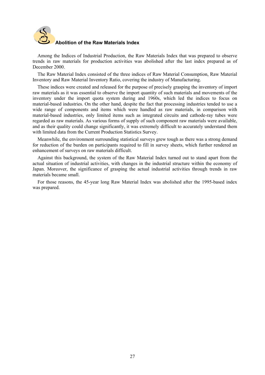

Among the Indices of Industrial Production, the Raw Materials Index that was prepared to observe trends in raw materials for production activities was abolished after the last index prepared as of December 2000.

The Raw Material Index consisted of the three indices of Raw Material Consumption, Raw Material Inventory and Raw Material Inventory Ratio, covering the industry of Manufacturing.

These indices were created and released for the purpose of precisely grasping the inventory of import raw materials as it was essential to observe the import quantity of such materials and movements of the inventory under the import quota system during and 1960s, which led the indices to focus on material-based industries. On the other hand, despite the fact that processing industries tended to use a wide range of components and items which were handled as raw materials, in comparison with material-based industries, only limited items such as integrated circuits and cathode-ray tubes were regarded as raw materials. As various forms of supply of such component raw materials were available, and as their quality could change significantly, it was extremely difficult to accurately understand them with limited data from the Current Production Statistics Survey.

Meanwhile, the environment surrounding statistical surveys grew tough as there was a strong demand for reduction of the burden on participants required to fill in survey sheets, which further rendered an enhancement of surveys on raw materials difficult.

Against this background, the system of the Raw Material Index turned out to stand apart from the actual situation of industrial activities, with changes in the industrial structure within the economy of Japan. Moreover, the significance of grasping the actual industrial activities through trends in raw materials became small.

For those reasons, the 45-year long Raw Material Index was abolished after the 1995-based index was prepared.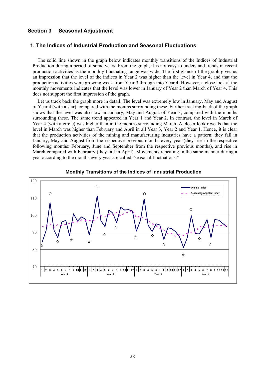### **Section 3 Seasonal Adjustment**

### **1. The Indices of Industrial Production and Seasonal Fluctuations**

The solid line shown in the graph below indicates monthly transitions of the Indices of Industrial Production during a period of some years. From the graph, it is not easy to understand trends in recent production activities as the monthly fluctuating range was wide. The first glance of the graph gives us an impression that the level of the indices in Year 2 was higher than the level in Year 4, and that the production activities were growing weak from Year 3 through into Year 4. However, a close look at the monthly movements indicates that the level was lower in January of Year 2 than March of Year 4. This does not support the first impression of the graph.

Let us track back the graph more in detail. The level was extremely low in January, May and August of Year 4 (with a star), compared with the months surrounding these. Further tracking-back of the graph shows that the level was also low in January, May and August of Year 3, compared with the months surrounding these. The same trend appeared in Year 1 and Year 2. In contrast, the level in March of Year 4 (with a circle) was higher than in the months surrounding March. A closer look reveals that the level in March was higher than February and April in all Year 3, Year 2 and Year 1. Hence, it is clear that the production activities of the mining and manufacturing industries have a pattern; they fall in January, May and August from the respective previous months every year (they rise in the respective following months: February, June and September from the respective previous months), and rise in March compared with February (they fall in April). Movements repeating in the same manner during a year according to the months every year are called "seasonal fluctuations."



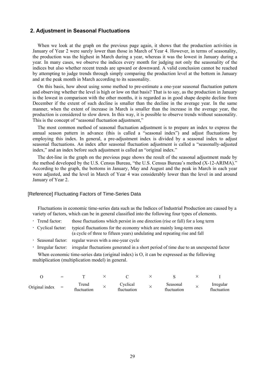### **2. Adjustment in Seasonal Fluctuations**

When we look at the graph on the previous page again, it shows that the production activities in January of Year 2 were surely lower than those in March of Year 4. However, in terms of seasonality, the production was the highest in March during a year, whereas it was the lowest in January during a year. In many cases, we observe the indices every month for judging not only the seasonality of the indices but also whether recent trends are upward or downward. A valid conclusion cannot be reached by attempting to judge trends through simply comparing the production level at the bottom in January and at the peak month in March according to its seasonality.

On this basis, how about using some method to pre-estimate a one-year seasonal fluctuation pattern and observing whether the level is high or low on that basis? That is to say, as the production in January is the lowest in comparison with the other months, it is regarded as in good shape despite decline from December if the extent of such decline is smaller than the decline in the average year. In the same manner, when the extent of increase in March is smaller than the increase in the average year, the production is considered to slow down. In this way, it is possible to observe trends without seasonality. This is the concept of "seasonal fluctuation adjustment,"

The most common method of seasonal fluctuation adjustment is to prepare an index to express the annual season pattern in advance (this is called a "seasonal index") and adjust fluctuations by employing this index. In general, a pre-adjustment index is divided by a seasonal index to adjust seasonal fluctuations. An index after seasonal fluctuation adjustment is called a "seasonally-adjusted index," and an index before such adjustment is called an "original index."

The dot-line in the graph on the previous page shows the result of the seasonal adjustment made by the method developed by the U.S. Census Bureau, "the U.S. Census Bureau's method (X-12-ARIMA)." According to the graph, the bottoms in January, May and August and the peak in March in each year were adjusted, and the level in March of Year 4 was considerably lower than the level in and around January of Year 2.

### [Reference] Fluctuating Factors of Time-Series Data

Fluctuations in economic time-series data such as the Indices of Industrial Production are caused by a variety of factors, which can be in general classified into the following four types of elements.

- Trend factor: those fluctuations which persist in one direction (rise or fall) for a long term
- Cyclical factor: typical fluctuations for the economy which are mainly long-term ones (a cycle of three to fifteen years) undulating and repeating rise and fall
- Seasonal factor: regular waves with a one-year cycle
- Irregular factor: irregular fluctuations generated in a short period of time due to an unexpected factor

When economic time-series data (original index) is O, it can be expressed as the following multiplication (multiplication model) in general.

|                | $=$ |                     |                         |                         |                          |
|----------------|-----|---------------------|-------------------------|-------------------------|--------------------------|
| Original index | $=$ | rend<br>fluctuation | Cyclical<br>fluctuation | Seasonal<br>fluctuation | Irregular<br>fluctuation |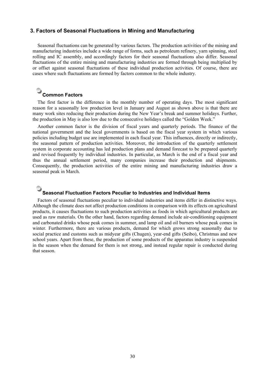### **3. Factors of Seasonal Fluctuations in Mining and Manufacturing**

Seasonal fluctuations can be generated by various factors. The production activities of the mining and manufacturing industries include a wide range of forms, such as petroleum refinery, yarn spinning, steel rolling and IC assembly, and accordingly factors for their seasonal fluctuations also differ. Seasonal fluctuations of the entire mining and manufacturing industries are formed through being multiplied by or offset against seasonal fluctuations of these individual production activities. Of course, there are cases where such fluctuations are formed by factors common to the whole industry.

### **Common Factors**

The first factor is the difference in the monthly number of operating days. The most significant reason for a seasonally low production level in January and August as shown above is that there are many work sites reducing their production during the New Year's break and summer holidays. Further, the production in May is also low due to the consecutive holidays called the "Golden Week."

Another common factor is the division of fiscal years and quarterly periods. The finance of the national government and the local governments is based on the fiscal year system in which various policies including budget use are implemented in each fiscal year. This influences, directly or indirectly, the seasonal pattern of production activities. Moreover, the introduction of the quarterly settlement system in corporate accounting has led production plans and demand forecast to be prepared quarterly and revised frequently by individual industries. In particular, as March is the end of a fiscal year and thus the annual settlement period, many companies increase their production and shipments. Consequently, the production activities of the entire mining and manufacturing industries draw a seasonal peak in March.

### **Seasonal Fluctuation Factors Peculiar to Industries and Individual Items**

Factors of seasonal fluctuations peculiar to individual industries and items differ in distinctive ways. Although the climate does not affect production conditions in comparison with its effects on agricultural products, it causes fluctuations to such production activities as foods in which agricultural products are used as raw materials. On the other hand, factors regarding demand include air-conditioning equipment and carbonated drinks whose peak comes in summer, and lamp oil and oil burners whose peak comes in winter. Furthermore, there are various products, demand for which grows strong seasonally due to social practice and customs such as midyear gifts (Chugen), year-end gifts (Seibo), Christmas and new school years. Apart from these, the production of some products of the apparatus industry is suspended in the season when the demand for them is not strong, and instead regular repair is conducted during that season.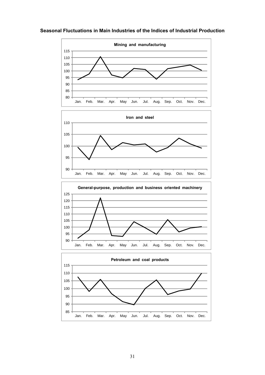

### **Seasonal Fluctuations in Main Industries of the Indices of Industrial Production**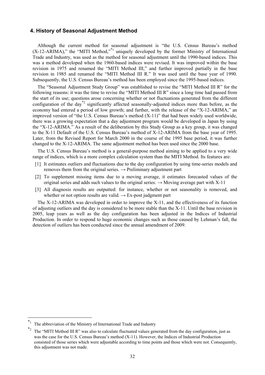### **4. History of Seasonal Adjustment Method**

Although the current method for seasonal adjustment is "the U.S. Census Bureau's method  $(X-12-ARIMA)$ ," the "MITI Method,"<sup>\*1</sup> uniquely developed by the former Ministry of International Trade and Industry, was used as the method for seasonal adjustment until the 1990-based indices. This was a method developed when the 1960-based indices were revised. It was improved within the base revision in 1975 and renamed the "MITI Method III," and further improved partially in the base revision in 1985 and renamed the "MITI Method III R." It was used until the base year of 1990. Subsequently, the U.S. Census Bureau's method has been employed since the 1995-based indices.

The "Seasonal Adjustment Study Group" was established to revise the "MITI Method III R" for the following reasons: it was the time to revise the "MITI Method III R" since a long time had passed from the start of its use; questions arose concerning whether or not fluctuations generated from the different configuration of the day<sup>\*2</sup> significantly affected seasonally-adjusted indices more than before, as the economy had entered a period of low growth; and further, with the release of the "X-12-ARIMA," an improved version of "the U.S. Census Bureau's method (X-11)" that had been widely used worldwide, there was a growing expectation that a day adjustment program would be developed in Japan by using the "X-12-ARIMA." As a result of the deliberation by this Study Group as a key group, it was changed to the X-11 Default of the U.S. Census Bureau's method of X-12-ARIMA from the base year of 1995. Later, from the Revised Report for March 2000 in the course of the 1995 base period, it was further changed to the X-12-ARIMA. The same adjustment method has been used since the 2000 base.

The U.S. Census Bureau's method is a general-purpose method aiming to be applied to a very wide range of indices, which is a more complex calculation system than the MITI Method. Its features are:

- [1] It estimates outliers and fluctuations due to the day configuration by using time-series models and removes them from the original series.  $\rightarrow$  Preliminary adjustment part
- [2] To supplement missing items due to a moving average, it estimates forecasted values of the original series and adds such values to the original series.  $\rightarrow$  Moving average part with X-11
- [3] All diagnosis results are outputted: for instance, whether or not seasonality is removed, and whether or not option results are valid.  $\rightarrow$  Ex-post judgment part

The X-12-ARIMA was developed in order to improve the X-11, and the effectiveness of its function of adjusting outliers and the day is considered to be more stable than the X-11. Until the base revision in 2005, leap years as well as the day configuration has been adjusted in the Indices of Industrial Production. In order to respond to huge economic changes such as those caused by Lehman's fall, the detection of outliers has been conducted since the annual amendment of 2009.

l

The abbreviation of the Ministry of International Trade and Industry

The "MITI Method III R" was also to calculate fluctuated values generated from the day configuration, just as was the case for the U.S. Census Bureau's method (X-11). However, the Indices of Industrial Production consisted of those series which were adjustable according to time points and those which were not. Consequently, this adjustment was not made.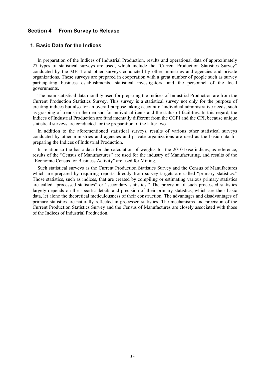### **Section 4 From Survey to Release**

### **1. Basic Data for the Indices**

In preparation of the Indices of Industrial Production, results and operational data of approximately 27 types of statistical surveys are used, which include the "Current Production Statistics Survey" conducted by the METI and other surveys conducted by other ministries and agencies and private organizations. These surveys are prepared in cooperation with a great number of people such as survey participating business establishments, statistical investigators, and the personnel of the local governments.

The main statistical data monthly used for preparing the Indices of Industrial Production are from the Current Production Statistics Survey. This survey is a statistical survey not only for the purpose of creating indices but also for an overall purpose taking account of individual administrative needs, such as grasping of trends in the demand for individual items and the status of facilities. In this regard, the Indices of Industrial Production are fundamentally different from the CGPI and the CPI, because unique statistical surveys are conducted for the preparation of the latter two.

In addition to the aforementioned statistical surveys, results of various other statistical surveys conducted by other ministries and agencies and private organizations are used as the basic data for preparing the Indices of Industrial Production.

In relation to the basic data for the calculation of weights for the 2010-base indices, as reference, results of the "Census of Manufactures" are used for the industry of Manufacturing, and results of the "Economic Census for Business Activity" are used for Mining.

Such statistical surveys as the Current Production Statistics Survey and the Census of Manufactures which are prepared by requiring reports directly from survey targets are called "primary statistics." Those statistics, such as indices, that are created by compiling or estimating various primary statistics are called "processed statistics" or "secondary statistics." The precision of such processed statistics largely depends on the specific details and precision of their primary statistics, which are their basic data, let alone the theoretical meticulousness of their construction. The advantages and disadvantages of primary statistics are naturally reflected in processed statistics. The mechanisms and precision of the Current Production Statistics Survey and the Census of Manufactures are closely associated with those of the Indices of Industrial Production.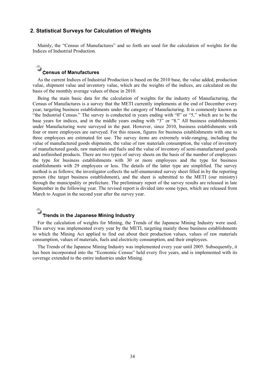### **2. Statistical Surveys for Calculation of Weights**

Mainly, the "Census of Manufactures" and so forth are used for the calculation of weights for the Indices of Industrial Production.

## **Census of Manufactures**

As the current Indices of Industrial Production is based on the 2010 base, the value added, production value, shipment value and inventory value, which are the weights of the indices, are calculated on the basis of the monthly average values of these in 2010.

Being the main basic data for the calculation of weights for the industry of Manufacturing, the Census of Manufactures is a survey that the METI currently implements at the end of December every year, targeting business establishments under the category of Manufacturing. It is commonly known as "the Industrial Census." The survey is conducted in years ending with "0" or "5," which are to be the base years for indices, and in the middle years ending with "3" or "8." All business establishments under Manufacturing were surveyed in the past. However, since 2010, business establishments with four or more employees are surveyed. For this reason, figures for business establishments with one to three employees are estimated for use. The survey items are extremely wide-ranging, including the value of manufactured goods shipments, the value of raw materials consumption, the value of inventory of manufactured goods, raw materials and fuels and the value of inventory of semi-manufactured goods and unfinished products. There are two types of survey sheets on the basis of the number of employees: the type for business establishments with 30 or more employees and the type for business establishments with 29 employees or less. The details of the latter type are simplified. The survey method is as follows; the investigator collects the self-enumerated survey sheet filled in by the reporting person (the target business establishment), and the sheet is submitted to the METI (our ministry) through the municipality or prefecture. The preliminary report of the survey results are released in late September in the following year. The revised report is divided into some types, which are released from March to August in the second year after the survey year.

## **Trends in the Japanese Mining Industry**

For the calculation of weights for Mining, the Trends of the Japanese Mining Industry were used. This survey was implemented every year by the METI, targeting mainly those business establishments to which the Mining Act applied to find out about their production values, values of raw materials consumption, values of materials, fuels and electricity consumption, and their employees.

The Trends of the Japanese Mining Industry was implemented every year until 2005. Subsequently, it has been incorporated into the "Economic Census" held every five years, and is implemented with its coverage extended to the entire industries under Mining.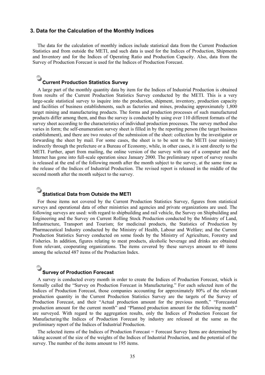### **3. Data for the Calculation of the Monthly Indices**

The data for the calculation of monthly indices include statistical data from the Current Production Statistics and from outside the METI, and such data is used for the Indices of Production, Shipments and Inventory and for the Indices of Operating Ratio and Production Capacity. Also, data from the Survey of Production Forecast is used for the Indices of Production Forecast.

## **Current Production Statistics Survey**

A large part of the monthly quantity data by item for the Indices of Industrial Production is obtained from results of the Current Production Statistics Survey conducted by the METI. This is a very large-scale statistical survey to inquire into the production, shipment, inventory, production capacity and facilities of business establishments, such as factories and mines, producing approximately 1,800 target mining and manufacturing products. The forms and production processes of such manufactured products differ among them, and thus the survey is conducted by using over 110 different formats of the survey sheet according to the characteristics of individual production processes. The survey method also varies in form; the self-enumeration survey sheet is filled in by the reporting person (the target business establishment), and there are two routes of the submission of the sheet: collection by the investigator or forwarding the sheet by mail. For some cases, the sheet is to be sent to the METI (our ministry) indirectly through the prefecture or a Bureau of Economy, while, in other cases, it is sent directly to the METI. Further, apart from mailing, the online version of the survey with use of a computer and the Internet has gone into full-scale operation since January 2000. The preliminary report of survey results is released at the end of the following month after the month subject to the survey, at the same time as the release of the Indices of Industrial Production. The revised report is released in the middle of the second month after the month subject to the survey.

### **Statistical Data from Outside the METI**

For those items not covered by the Current Production Statistics Survey, figures from statistical surveys and operational data of other ministries and agencies and private organizations are used. The following surveys are used: with regard to shipbuilding and rail vehicle, the Survey on Shipbuilding and Engineering and the Survey on Current Rolling Stock Production conducted by the Ministry of Land, Infrastructure, Transport and Tourism; for medicinal products, the Statistics of Production by Pharmaceutical Industry conducted by the Ministry of Health, Labour and Welfare; and the Current Production Statistics Survey conducted on some foods by the Ministry of Agriculture, Forestry and Fisheries. In addition, figures relating to meat products, alcoholic beverage and drinks are obtained from relevant, cooperating organizations. The items covered by these surveys amount to 40 items among the selected 487 items of the Production Index.

### **Survey of Production Forecast**

A survey is conducted every month in order to create the Indices of Production Forecast, which is formally called the "Survey on Production Forecast in Manufacturing." For each selected item of the Indices of Production Forecast, those companies accounting for approximately 80% of the relevant production quantity in the Current Production Statistics Survey are the targets of the Survey of Production Forecast, and their "Actual production amount for the previous month," "Forecasted production amount for the current month" and "Planned production amount for the following month" are surveyed. With regard to the aggregation results, only the Indices of Production Forecast for Manufacturing/the Indices of Production Forecast by industry are released at the same as the preliminary report of the Indices of Industrial Production.

The selected items of the Indices of Production Forecast = Forecast Survey Items are determined by taking account of the size of the weights of the Indices of Industrial Production, and the potential of the survey. The number of the items amount to 195 items.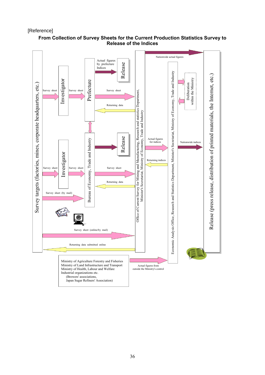[Reference]



### **From Collection of Survey Sheets for the Current Production Statistics Survey to Release of the Indices**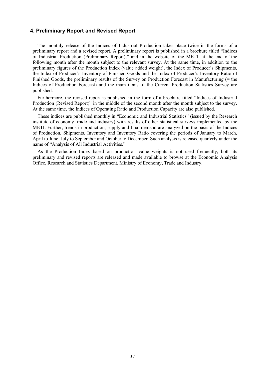### **4. Preliminary Report and Revised Report**

The monthly release of the Indices of Industrial Production takes place twice in the forms of a preliminary report and a revised report. A preliminary report is published in a brochure titled "Indices of Industrial Production (Preliminary Report)," and in the website of the METI, at the end of the following month after the month subject to the relevant survey. At the same time, in addition to the preliminary figures of the Production Index (value added weight), the Index of Producer's Shipments, the Index of Producer's Inventory of Finished Goods and the Index of Producer's Inventory Ratio of Finished Goods, the preliminary results of the Survey on Production Forecast in Manufacturing (= the Indices of Production Forecast) and the main items of the Current Production Statistics Survey are published.

Furthermore, the revised report is published in the form of a brochure titled "Indices of Industrial Production (Revised Report)" in the middle of the second month after the month subject to the survey. At the same time, the Indices of Operating Ratio and Production Capacity are also published.

These indices are published monthly in "Economic and Industrial Statistics" (issued by the Research institute of economy, trade and industry) with results of other statistical surveys implemented by the METI. Further, trends in production, supply and final demand are analyzed on the basis of the Indices of Production, Shipments, Inventory and Inventory Ratio covering the periods of January to March, April to June, July to September and October to December. Such analysis is released quarterly under the name of "Analysis of All Industrial Activities."

As the Production Index based on production value weights is not used frequently, both its preliminary and revised reports are released and made available to browse at the Economic Analysis Office, Research and Statistics Department, Ministry of Economy, Trade and Industry.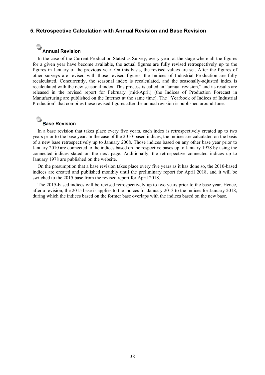### **5. Retrospective Calculation with Annual Revision and Base Revision**

## **Annual Revision**

In the case of the Current Production Statistics Survey, every year, at the stage where all the figures for a given year have become available, the actual figures are fully revised retrospectively up to the figures in January of the previous year. On this basis, the revised values are set. After the figures of other surveys are revised with those revised figures, the Indices of Industrial Production are fully recalculated. Concurrently, the seasonal index is recalculated, and the seasonally-adjusted index is recalculated with the new seasonal index. This process is called an "annual revision," and its results are released in the revised report for February (mid-April) (the Indices of Production Forecast in Manufacturing are published on the Internet at the same time). The "Yearbook of Indices of Industrial Production" that compiles these revised figures after the annual revision is published around June.

## **Base Revision**

In a base revision that takes place every five years, each index is retrospectively created up to two years prior to the base year. In the case of the 2010-based indices, the indices are calculated on the basis of a new base retrospectively up to January 2008. Those indices based on any other base year prior to January 2010 are connected to the indices based on the respective bases up to January 1978 by using the connected indices stated on the next page. Additionally, the retrospective connected indices up to January 1978 are published on the website.

On the presumption that a base revision takes place every five years as it has done so, the 2010-based indices are created and published monthly until the preliminary report for April 2018, and it will be switched to the 2015 base from the revised report for April 2018.

The 2015-based indices will be revised retrospectively up to two years prior to the base year. Hence, after a revision, the 2015 base is applies to the indices for January 2013 to the indices for January 2018, during which the indices based on the former base overlaps with the indices based on the new base.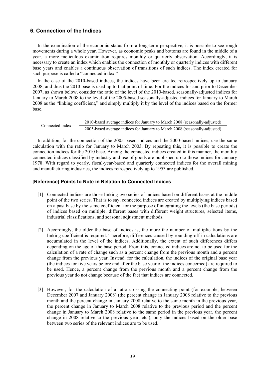### **6. Connection of the Indices**

In the examination of the economic status from a long-term perspective, it is possible to see rough movements during a whole year. However, as economic peaks and bottoms are found in the middle of a year, a more meticulous examination requires monthly or quarterly observation. Accordingly, it is necessary to create an index which enables the connection of monthly or quarterly indices with different base years and enables a continuous observation of transitions of such indices. The index created for such purpose is called a "connected index."

In the case of the 2010-based indices, the indices have been created retrospectively up to January 2008, and thus the 2010 base is used up to that point of time. For the indices for and prior to December 2007, as shown below, consider the ratio of the level of the 2010-based, seasonally-adjusted indices for January to March 2008 to the level of the 2005-based seasonally-adjusted indices for January to March 2008 as the "linking coefficient," and simply multiply it by the level of the indices based on the former base.

Connected index =  $\frac{2010 \text{-based average indices for January to March } 2008 \text{ (seasonally-adjusted)}}{2005 \text{-based average indices for January to March } 2008 \text{ (seasonally-adjusted)}}$ 

In addition, for the connection of the 2005 based indices and the 2000-based indices, use the same calculation with the ratio for January to March 2003. By repeating this, it is possible to create the connection indices for the 2010 base. Among the connected indices created in this manner, the monthly connected indices classified by industry and use of goods are published up to those indices for January 1978. With regard to yearly, fiscal-year-based and quarterly connected indices for the overall mining and manufacturing industries, the indices retrospectively up to 1953 are published.

### **[Reference] Points to Note in Relation to Connected Indices**

- [1] Connected indices are those linking two series of indices based on different bases at the middle point of the two series. That is to say, connected indices are created by multiplying indices based on a past base by the same coefficient for the purpose of integrating the levels (the base periods) of indices based on multiple, different bases with different weight structures, selected items, industrial classifications, and seasonal adjustment methods.
- [2] Accordingly, the older the base of indices is, the more the number of multiplications by the linking coefficient is required. Therefore, differences caused by rounding-off in calculations are accumulated in the level of the indices. Additionally, the extent of such differences differs depending on the age of the base period. From this, connected indices are not to be used for the calculation of a rate of change such as a percent change from the previous month and a percent change from the previous year. Instead, for the calculation, the indices of the original base year (the indices for five years before and after the base year of the indices concerned) are required to be used. Hence, a percent change from the previous month and a percent change from the previous year do not change because of the fact that indices are connected.
- [3] However, for the calculation of a ratio crossing the connecting point (for example, between December 2007 and January 2008) (the percent change in January 2008 relative to the previous month and the percent change in January 2008 relative to the same month in the previous year, the percent change in January to March 2008 relative to the previous period and the percent change in January to March 2008 relative to the same period in the previous year, the percent change in 2008 relative to the previous year, etc.), only the indices based on the older base between two series of the relevant indices are to be used.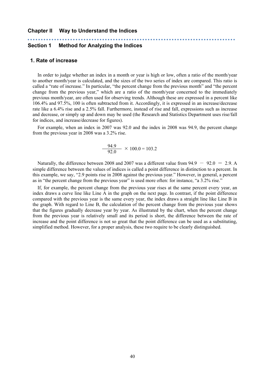#### **Chapter II Way to Understand the Indices**

### **Section 1 Method for Analyzing the Indices**

### **1. Rate of increase**

In order to judge whether an index in a month or year is high or low, often a ratio of the month/year to another month/year is calculated, and the sizes of the two series of index are compared. This ratio is called a "rate of increase." In particular, "the percent change from the previous month" and "the percent change from the previous year," which are a ratio of the month/year concerned to the immediately previous month/year, are often used for observing trends. Although these are expressed in a percent like 106.4% and 97.5%, 100 is often subtracted from it. Accordingly, it is expressed in an increase/decrease rate like a 6.4% rise and a 2.5% fall. Furthermore, instead of rise and fall, expressions such as increase and decrease, or simply up and down may be used (the Research and Statistics Department uses rise/fall for indices, and increase/decrease for figures).

For example, when an index in 2007 was 92.0 and the index in 2008 was 94.9, the percent change from the previous year in 2008 was a 3.2% rise.

$$
\frac{94.9}{92.0} \times 100.0 = 103.2
$$

Naturally, the difference between 2008 and 2007 was a different value from  $94.9 - 92.0 = 2.9$ . A simple difference between the values of indices is called a point difference in distinction to a percent. In this example, we say, "2.9 points rise in 2008 against the previous year." However, in general, a percent as in "the percent change from the previous year" is used more often: for instance, "a 3.2% rise."

If, for example, the percent change from the previous year rises at the same percent every year, an index draws a curve line like Line A in the graph on the next page. In contrast, if the point difference compared with the previous year is the same every year, the index draws a straight line like Line B in the graph. With regard to Line B, the calculation of the percent change from the previous year shows that the figures gradually decrease year by year. As illustrated by the chart, when the percent change from the previous year is relatively small and its period is short, the difference between the rate of increase and the point difference is not so great that the point difference can be used as a substituting, simplified method. However, for a proper analysis, these two require to be clearly distinguished.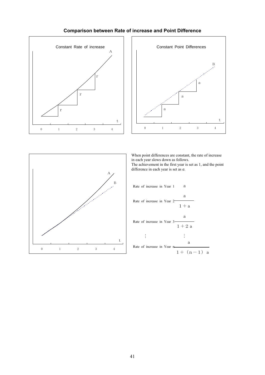

### **Comparison between Rate of increase and Point Difference**





hen point differences are constant, the rate of increase each year slows down as follows The achievement in the first year is set as 1, and the point difference in each year is set as *a*. When point differences are constant, the rate of increase in each year slows down as follows.

1年目の上昇率 a a 2年目の上昇率 1+a a 3年目の上昇率 1+2a … … a n年目の上昇率 1+(n-1)a Rate of increase in Year 1 Rate of increase in Year 2 Rate of increase in Year 3 Rate of increase in Year n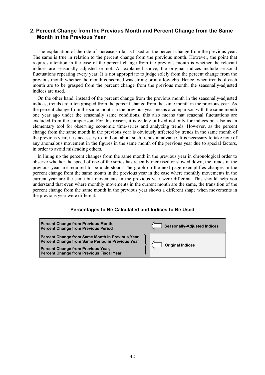### **2. Percent Change from the Previous Month and Percent Change from the Same Month in the Previous Year**

The explanation of the rate of increase so far is based on the percent change from the previous year. The same is true in relation to the percent change from the previous month. However, the point that requires attention in the case of the percent change from the previous month is whether the relevant indices are seasonally adjusted or not. As explained above, the original indices include seasonal fluctuations repeating every year. It is not appropriate to judge solely from the percent change from the previous month whether the month concerned was strong or at a low ebb. Hence, when trends of each month are to be grasped from the percent change from the previous month, the seasonally-adjusted indices are used.

On the other hand, instead of the percent change from the previous month in the seasonally-adjusted indices, trends are often grasped from the percent change from the same month in the previous year. As the percent change from the same month in the previous year means a comparison with the same month one year ago under the seasonally same conditions, this also means that seasonal fluctuations are excluded from the comparison. For this reason, it is widely utilized not only for indices but also as an elementary tool for observing economic time-series and analyzing trends. However, as the percent change from the same month in the previous year is obviously affected by trends in the same month of the previous year, it is necessary to find out about such trends in advance. It is necessary to take note of any anomalous movement in the figures in the same month of the previous year due to special factors, in order to avoid misleading others.

In lining up the percent changes from the same month in the previous year in chronological order to observe whether the speed of rise of the series has recently increased or slowed down, the trends in the previous year are required to be understood. The graph on the next page exemplifies changes in the percent change from the same month in the previous year in the case where monthly movements in the current year are the same but movements in the previous year were different. This should help you understand that even where monthly movements in the current month are the same, the transition of the percent change from the same month in the previous year shows a different shape when movements in the previous year were different.

### **Percentages to Be Calculated and Indices to Be Used**

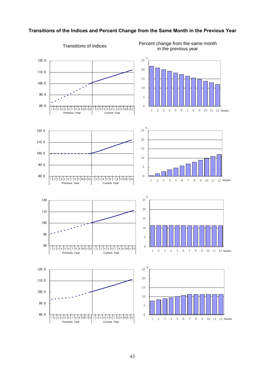

### **Transitions of the Indices and Percent Change from the Same Month in the Previous Year**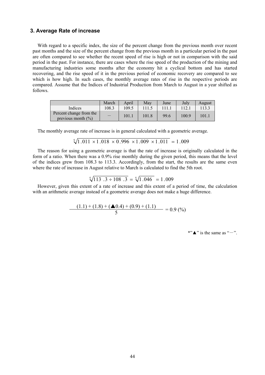### **3. Average Rate of increase**

With regard to a specific index, the size of the percent change from the previous month over recent past months and the size of the percent change from the previous month in a particular period in the past are often compared to see whether the recent speed of rise is high or not in comparison with the said period in the past. For instance, there are cases where the rise speed of the production of the mining and manufacturing industries some months after the economy hit a cyclical bottom and has started recovering, and the rise speed of it in the previous period of economic recovery are compared to see which is how high. In such cases, the monthly average rates of rise in the respective periods are compared. Assume that the Indices of Industrial Production from March to August in a year shifted as follows.

|                                                  | March | April | May   | June  | July  | August |
|--------------------------------------------------|-------|-------|-------|-------|-------|--------|
| Indices                                          | 108.3 | 109.5 |       | 111.1 | 112.1 | 113.3  |
| Percent change from the<br>previous month $(\%)$ |       | 101.1 | 101.8 | 99.6  | 100.9 | 101.1  |

The monthly average rate of increase is in general calculated with a geometric average.

$$
\sqrt[5]{1.011 \times 1.018 \times 0.996 \times 1.009 \times 1.011} = 1.009
$$

The reason for using a geometric average is that the rate of increase is originally calculated in the form of a ratio. When there was a 0.9% rise monthly during the given period, this means that the level of the indices grew from 108.3 to 113.3. Accordingly, from the start, the results are the same even where the rate of increase in August relative to March is calculated to find the 5th root.

$$
\sqrt[5]{113} \cdot 3 \div 108 \cdot 3 = \sqrt[5]{1} \cdot 046 = 1 \cdot 009
$$

However, given this extent of a rate of increase and this extent of a period of time, the calculation with an arithmetic average instead of a geometric average does not make a huge difference.

$$
\frac{(1.1) + (1.8) + (\triangle 0.4) + (0.9) + (1.1)}{5} = 0.9\,(%
$$

\*" $\blacktriangle$ " is the same as "-".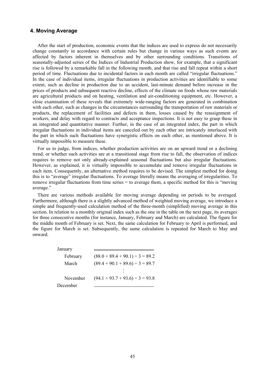### **4. Moving Average**

After the start of production, economic events that the indices are used to express do not necessarily change constantly in accordance with certain rules but change in various ways as such events are affected by factors inherent in themselves and by other surrounding conditions. Transitions of seasonally-adjusted series of the Indices of Industrial Production show, for example, that a significant rise is followed by a remarkable fall in the following month, and that rise and fall repeat within a short period of time. Fluctuations due to incidental factors in each month are called "irregular fluctuations." In the case of individual items, irregular fluctuations in production activities are identifiable to some extent, such as decline in production due to an accident, last-minute demand before increase in the prices of products and subsequent reactive decline, effects of the climate on foods whose raw materials are agricultural products and on heating, ventilation and air-conditioning equipment, etc. However, a close examination of these reveals that extremely wide-ranging factors are generated in combination with each other, such as changes in the circumstances surrounding the transportation of raw materials or products, the replacement of facilities and defects in them, losses caused by the reassignment of workers, and delay with regard to contracts and acceptance inspections. It is not easy to grasp these in an integrated and quantitative manner. Further, in the case of an integrated index, the part in which irregular fluctuations in individual items are canceled out by each other are intricately interlaced with the part in which such fluctuations have synergistic effects on each other, as mentioned above. It is virtually impossible to measure these.

For us to judge, from indices, whether production activities are on an upward trend or a declining trend, or whether such activities are at a transitional stage from rise to fall, the observation of indices requires to remove not only already-explained seasonal fluctuations but also irregular fluctuations. However, as explained, it is virtually impossible to accumulate and remove irregular fluctuations in each item. Consequently, an alternative method requires to be devised. The simplest method for doing this is to "average" irregular fluctuations. To average literally means the averaging of irregularities. To remove irregular fluctuations from time series = to average them, a specific method for this is "moving average."

There are various methods available for moving average depending on periods to be averaged. Furthermore, although there is a slightly advanced method of weighted moving average, we introduce a simple and frequently-used calculation method of the three-month (simplified) moving average in this section. In relation to a monthly original index such as the one in the table on the next page, its averages for three consecutive months (for instance, January, February and March) are calculated. The figure for the middle month of February is set. Next, the same calculation for February to April is performed, and the figure for March is set. Subsequently, the same calculation is repeated for March to May and onward.

| January  |                                      |
|----------|--------------------------------------|
| February | $(88.0 + 89.4 + 90.1) \div 3 = 89.2$ |
| March    | $(89.4 + 90.1 + 89.6) \div 3 = 89.7$ |
|          |                                      |
| November | $(94.1 + 93.7 + 93.6) \div 3 = 93.8$ |
| December |                                      |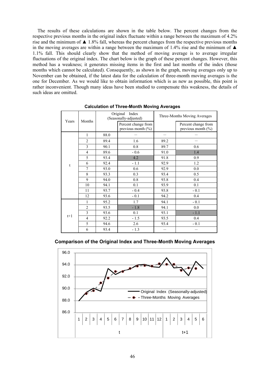The results of these calculations are shown in the table below. The percent changes from the respective previous months in the original index fluctuate within a range between the maximum of 4.2% rise and the minimum of  $\blacktriangle$  1.8% fall, whereas the percent changes from the respective previous months in the moving averages are within a range between the maximum of 1.4% rise and the minimum of  $\triangle$ 1.1% fall. This should clearly show that the method of moving average is to average irregular fluctuations of the original index. The chart below is the graph of these percent changes. However, this method has a weakness; it generates missing items in the first and last months of the index (those months which cannot be calculated). Consequently, as shown in the graph, moving averages only up to November can be obtained, if the latest data for the calculation of three-month moving averages is the one for December. As we would like to obtain information which is as new as possible, this point is rather inconvenient. Though many ideas have been studied to compensate this weakness, the details of such ideas are omitted.

|       |                                                                                                                                                                                                                                                                                                                                  |                                               | Index<br>(Seasonally-adjusted) |                                               | Three-Months Moving Averages |  |  |
|-------|----------------------------------------------------------------------------------------------------------------------------------------------------------------------------------------------------------------------------------------------------------------------------------------------------------------------------------|-----------------------------------------------|--------------------------------|-----------------------------------------------|------------------------------|--|--|
| Years | Original<br>Months<br>88.0<br>1<br>$\overline{2}$<br>89.4<br>$\overline{3}$<br>90.1<br>$\overline{4}$<br>89.6<br>5<br>93.4<br>92.4<br>6<br>7<br>93.0<br>8<br>93.3<br>9<br>94.0<br>10<br>94.1<br>93.7<br>11<br>12<br>93.6<br>95.2<br>1<br>$\overline{c}$<br>93.5<br>3<br>93.6<br>$\overline{4}$<br>92.2<br>5<br>94.6<br>6<br>93.4 | Percent change from<br>previous month $(\% )$ |                                | Percent change from<br>previous month $(\% )$ |                              |  |  |
|       |                                                                                                                                                                                                                                                                                                                                  |                                               |                                |                                               |                              |  |  |
|       |                                                                                                                                                                                                                                                                                                                                  |                                               | 1.6                            | 89.2                                          |                              |  |  |
|       |                                                                                                                                                                                                                                                                                                                                  |                                               | 0.8                            | 89.7                                          | 0.6                          |  |  |
|       |                                                                                                                                                                                                                                                                                                                                  |                                               | $-0.6$                         | 91.0                                          | 1.4                          |  |  |
|       |                                                                                                                                                                                                                                                                                                                                  |                                               | 4.2                            | 91.8                                          | 0.9                          |  |  |
| t     |                                                                                                                                                                                                                                                                                                                                  |                                               | $-1.1$                         | 92.9                                          | 1.2                          |  |  |
|       |                                                                                                                                                                                                                                                                                                                                  |                                               | 0.6                            | 92.9                                          | 0.0                          |  |  |
|       |                                                                                                                                                                                                                                                                                                                                  |                                               | 0.3                            | 93.4                                          | 0.5                          |  |  |
|       |                                                                                                                                                                                                                                                                                                                                  |                                               | 0.8                            | 93.8                                          | 0.4                          |  |  |
|       |                                                                                                                                                                                                                                                                                                                                  |                                               | 0.1                            | 93.9                                          | 0.1                          |  |  |
|       |                                                                                                                                                                                                                                                                                                                                  |                                               | $-0.4$                         | 93.8                                          | $-0.1$                       |  |  |
|       |                                                                                                                                                                                                                                                                                                                                  |                                               | $-0.1$                         | 94.2                                          | 0.4                          |  |  |
|       |                                                                                                                                                                                                                                                                                                                                  |                                               | 1.7                            | 94.1                                          | $-0.1$                       |  |  |
|       |                                                                                                                                                                                                                                                                                                                                  |                                               | $-1.8$                         | 94.1                                          | 0.0                          |  |  |
|       |                                                                                                                                                                                                                                                                                                                                  |                                               | 0.1                            | 93.1                                          | $-1.1$                       |  |  |
| $t+1$ |                                                                                                                                                                                                                                                                                                                                  |                                               | $-1.5$                         | 93.5                                          | 0.4                          |  |  |
|       |                                                                                                                                                                                                                                                                                                                                  |                                               | 2.6                            | 93.4                                          | $-0.1$                       |  |  |
|       |                                                                                                                                                                                                                                                                                                                                  |                                               | $-1.3$                         |                                               |                              |  |  |

**Calculation of Three-Month Moving Averages**

|  |  | <b>Comparison of the Original Index and Three-Month Moving Averages</b> |  |
|--|--|-------------------------------------------------------------------------|--|
|  |  |                                                                         |  |

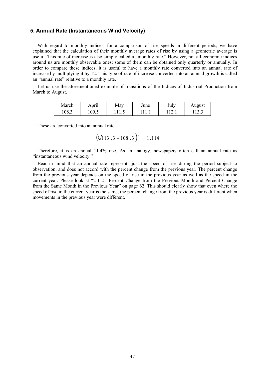### **5. Annual Rate (Instantaneous Wind Velocity)**

With regard to monthly indices, for a comparison of rise speeds in different periods, we have explained that the calculation of their monthly average rates of rise by using a geometric average is useful. This rate of increase is also simply called a "monthly rate." However, not all economic indices around us are monthly observable ones; some of them can be obtained only quarterly or annually. In order to compare these indices, it is useful to have a monthly rate converted into an annual rate of increase by multiplying it by 12. This type of rate of increase converted into an annual growth is called an "annual rate" relative to a monthly rate.

Let us use the aforementioned example of transitions of the Indices of Industrial Production from March to August.

| March | April | May   | June | July | August |
|-------|-------|-------|------|------|--------|
| 108.3 | 109.5 | 111.J | .    | .    | 11 J.J |

These are converted into an annual rate.

$$
\left(\sqrt[5]{113 \cdot 3 \div 108 \cdot 3}\right)^{12} = 1.114
$$

Therefore, it is an annual 11.4% rise. As an analogy, newspapers often call an annual rate as "instantaneous wind velocity."

Bear in mind that an annual rate represents just the speed of rise during the period subject to observation, and does not accord with the percent change from the previous year. The percent change from the previous year depends on the speed of rise in the previous year as well as the speed in the current year. Please look at "2-1-2 Percent Change from the Previous Month and Percent Change from the Same Month in the Previous Year" on page 62. This should clearly show that even where the speed of rise in the current year is the same, the percent change from the previous year is different when movements in the previous year were different.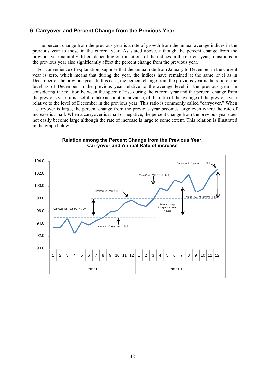### **6. Carryover and Percent Change from the Previous Year**

The percent change from the previous year is a rate of growth from the annual average indices in the previous year to those in the current year. As stated above, although the percent change from the previous year naturally differs depending on transitions of the indices in the current year, transitions in the previous year also significantly affect the percent change from the previous year.

For convenience of explanation, suppose that the annual rate from January to December in the current year is zero, which means that during the year, the indices have remained at the same level as in December of the previous year. In this case, the percent change from the previous year is the ratio of the level as of December in the previous year relative to the average level in the previous year. In considering the relation between the speed of rise during the current year and the percent change from the previous year, it is useful to take account, in advance, of the ratio of the average of the previous year relative to the level of December in the previous year. This ratio is commonly called "carryover." When a carryover is large, the percent change from the previous year becomes large even where the rate of increase is small. When a carryover is small or negative, the percent change from the previous year does not easily become large although the rate of increase is large to some extent. This relation is illustrated in the graph below.



#### **Relation among the Percent Change from the Previous Year, Carryover and Annual Rate of increase**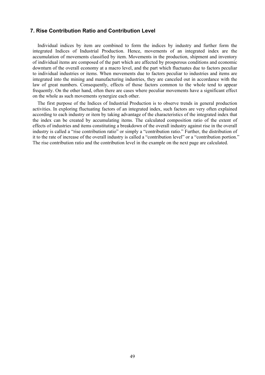### **7. Rise Contribution Ratio and Contribution Level**

Individual indices by item are combined to form the indices by industry and further form the integrated Indices of Industrial Production. Hence, movements of an integrated index are the accumulation of movements classified by item. Movements in the production, shipment and inventory of individual items are composed of the part which are affected by prosperous conditions and economic downturn of the overall economy at a macro level, and the part which fluctuates due to factors peculiar to individual industries or items. When movements due to factors peculiar to industries and items are integrated into the mining and manufacturing industries, they are canceled out in accordance with the law of great numbers. Consequently, effects of those factors common to the whole tend to appear frequently. On the other hand, often there are cases where peculiar movements have a significant effect on the whole as such movements synergize each other.

The first purpose of the Indices of Industrial Production is to observe trends in general production activities. In exploring fluctuating factors of an integrated index, such factors are very often explained according to each industry or item by taking advantage of the characteristics of the integrated index that the index can be created by accumulating items. The calculated composition ratio of the extent of effects of industries and items constituting a breakdown of the overall industry against rise in the overall industry is called a "rise contribution ratio" or simply a "contribution ratio." Further, the distribution of it to the rate of increase of the overall industry is called a "contribution level" or a "contribution portion." The rise contribution ratio and the contribution level in the example on the next page are calculated.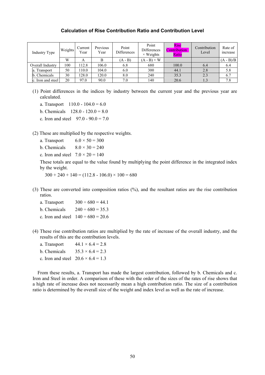### **Calculation of Rise Contribution Ratio and Contribution Level**

| Industry Type     | Weights | Current<br>Year | Previous<br>Year | Point<br>Differences | Point<br><b>Differences</b><br>$\times$ Weights | <b>Rise</b><br>Contribution<br>Ratio | Contribution<br>Level | Rate of<br>increase |
|-------------------|---------|-----------------|------------------|----------------------|-------------------------------------------------|--------------------------------------|-----------------------|---------------------|
|                   | W       | A               | В                | $(A - B)$            | $(A - B) \times W$                              |                                      |                       | $(A - B)/B$         |
| Overall Industry  | 100     | 12.8            | 106.0            | 6.8                  | 680                                             | 100.0                                | 6.4                   | 6.4                 |
| Transport<br>a.   | 50      | 10.0            | 104.0            | 6.0                  | 300                                             | 44.1                                 | 2.8                   | 5.8                 |
| Chemicals<br>b.   | 30      | 128.0           | 120.0            | 8.0                  | 240                                             | 35.3                                 | 2.3                   | 6.7                 |
| c. Iron and steel | 20      | 97.0            | 90.0             | 7.0                  | 140                                             | 20.6                                 | 1.3                   | 7.8                 |

- (1) Point differences in the indices by industry between the current year and the previous year are calculated.
	- a. Transport  $110.0 104.0 = 6.0$
	- b. Chemicals  $128.0 120.0 = 8.0$
	- c. Iron and steel  $97.0 90.0 = 7.0$

(2) These are multiplied by the respective weights.

- a. Transport  $6.0 \times 50 = 300$
- b. Chemicals  $8.0 \times 30 = 240$
- c. Iron and steel  $7.0 \times 20 = 140$

These totals are equal to the value found by multiplying the point difference in the integrated index by the weight.

 $300 + 240 + 140 = (112.8 - 106.0) \times 100 = 680$ 

- (3) These are converted into composition ratios (%), and the resultant ratios are the rise contribution ratios.
	- a. Transport  $300 \div 680 = 44.1$
	- b. Chemicals  $240 \div 680 = 35.3$
	- c. Iron and steel  $140 \div 680 = 20.6$
- (4) These rise contribution ratios are multiplied by the rate of increase of the overall industry, and the results of this are the contribution levels.

| a. Transport | $44.1 \times 6.4 = 2.8$                   |
|--------------|-------------------------------------------|
| b. Chemicals | $35.3 \times 6.4 = 2.3$                   |
|              | c. Iron and steel $20.6 \times 6.4 = 1.3$ |

From these results, a. Transport has made the largest contribution, followed by b. Chemicals and c. Iron and Steel in order. A comparison of these with the order of the sizes of the rates of rise shows that a high rate of increase does not necessarily mean a high contribution ratio. The size of a contribution ratio is determined by the overall size of the weight and index level as well as the rate of increase.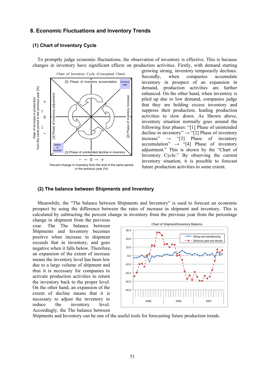### **8. Economic Fluctuations and Inventory Trends**

### **(1) Chart of Inventory Cycle**

To promptly judge economic fluctuations, the observation of inventory is effective. This is because changes in inventory have significant effects on production activities. Firstly, with demand starting



growing strong, inventory temporarily declines. Secondly, when companies accumulate inventory in prospect of an expansion in demand, production activities are further enhanced. On the other hand, when inventory is piled up due to low demand, companies judge that they are holding excess inventory and suppress their production, leading production activities to slow down. As Shown above, inventory situation normally goes around the following four phases: "[1] Phase of unintended decline in inventory"  $\rightarrow$  "[2] Phase of inventory increase"  $\rightarrow$  "[3] Phase of inventory accumulation"  $\rightarrow$  "[4] Phase of inventory adjustment." This is shown by the "Chart of Inventory Cycle." By observing the current inventory situation, it is possible to forecast future production activities to some extent.

### **(2) The balance between Shipments and Inventory**

Meanwhile, the "The balance between Shipments and Inventory" is used to forecast an economic prospect by using the difference between the rates of increase in shipment and inventory. This is calculated by subtracting the percent change in inventory from the previous year from the percentage

change in shipment from the previous year. The The balance between Shipments and Inventory becomes positive when increase in shipment exceeds that in inventory, and goes negative when it falls below. Therefore, an expansion of the extent of increase means the inventory level has been low due to a large volume of shipment and thus it is necessary for companies to activate production activities to return the inventory back to the proper level. On the other hand, an expansion of the extent of decline means that it is necessary to adjust the inventory to reduce the inventory level. Accordingly, the The balance between



Shipments and Inventory can be one of the useful tools for forecasting future production trends.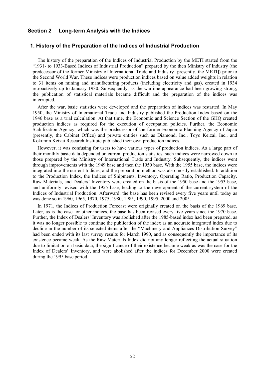### **Section 2 Long-term Analysis with the Indices**

### **1. History of the Preparation of the Indices of Industrial Production**

The history of the preparation of the Indices of Industrial Production by the METI started from the "1931- to 1933-Based Indices of Industrial Production" prepared by the then Ministry of Industry (the predecessor of the former Ministry of International Trade and Industry [presently, the METI]) prior to the Second World War. These indices were production indices based on value added weights in relation to 31 items on mining and manufacturing products (including electricity and gas), created in 1934 retroactively up to January 1930. Subsequently, as the wartime appearance had been growing strong, the publication of statistical materials became difficult and the preparation of the indices was interrupted.

After the war, basic statistics were developed and the preparation of indices was restarted. In May 1950, the Ministry of International Trade and Industry published the Production Index based on the 1946 base as a trial calculation. At that time, the Economic and Science Section of the GHQ created production indices as required for the execution of occupation policies. Further, the Economic Stabilization Agency, which was the predecessor of the former Economic Planning Agency of Japan (presently, the Cabinet Office) and private entities such as Diamond, Inc., Toyo Keizai, Inc., and Kokumin Keizai Research Institute published their own production indices.

However, it was confusing for users to have various types of production indices. As a large part of their monthly basic data depended on current production statistics, such indices were narrowed down to those prepared by the Ministry of International Trade and Industry. Subsequently, the indices went through improvements with the 1949 base and then the 1950 base. With the 1955 base, the indices were integrated into the current Indices, and the preparation method was also mostly established. In addition to the Production Index, the Indices of Shipments, Inventory, Operating Ratio, Production Capacity. Raw Materials, and Dealers' Inventory were created on the basis of the 1950 base and the 1953 base, and uniformly revised with the 1955 base, leading to the development of the current system of the Indices of Industrial Production. Afterward, the base has been revised every five years until today as was done so in 1960, 1965, 1970, 1975, 1980, 1985, 1990, 1995, 2000 and 2005.

In 1971, the Indices of Production Forecast were originally created on the basis of the 1969 base. Later, as is the case for other indices, the base has been revised every five years since the 1970 base. Further, the Index of Dealers' Inventory was abolished after the 1985-based index had been prepared, as it was no longer possible to continue the publication of the index as an accurate integrated index due to decline in the number of its selected items after the "Machinery and Appliances Distribution Survey" had been ended with its last survey results for March 1990, and as consequently the importance of its existence became weak. As the Raw Materials Index did not any longer reflecting the actual situation due to limitation on basic data, the significance of their existence became weak as was the case for the Index of Dealers' Inventory, and were abolished after the indices for December 2000 were created during the 1995 base period.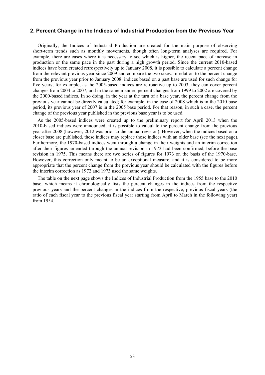### **2. Percent Change in the Indices of Industrial Production from the Previous Year**

Originally, the Indices of Industrial Production are created for the main purpose of observing short-term trends such as monthly movements, though often long-term analyses are required. For example, there are cases where it is necessary to see which is higher, the recent pace of increase in production or the same pace in the past during a high growth period. Since the current 2010-based indices have been created retrospectively up to January 2008, it is possible to calculate a percent change from the relevant previous year since 2009 and compare the two sizes. In relation to the percent change from the previous year prior to January 2008, indices based on a past base are used for such change for five years; for example, as the 2005-based indices are retroactive up to 2003, they can cover percent changes from 2004 to 2007; and in the same manner, percent changes from 1999 to 2002 are covered by the 2000-based indices. In so doing, in the year at the turn of a base year, the percent change from the previous year cannot be directly calculated; for example, in the case of 2008 which is in the 2010 base period, its previous year of 2007 is in the 2005 base period. For that reason, in such a case, the percent change of the previous year published in the previous base year is to be used.

As the 2005-based indices were created up to the preliminary report for April 2013 when the 2010-based indices were announced, it is possible to calculate the percent change from the previous year after 2008 (however, 2012 was prior to the annual revision). However, when the indices based on a closer base are published, these indices may replace those indices with an older base (see the next page). Furthermore, the 1970-based indices went through a change in their weights and an interim correction after their figures amended through the annual revision in 1973 had been confirmed, before the base revision in 1975. This means there are two series of figures for 1973 on the basis of the 1970-base. However, this correction only meant to be an exceptional measure, and it is considered to be more appropriate that the percent change from the previous year should be calculated with the figures before the interim correction as 1972 and 1973 used the same weights.

The table on the next page shows the Indices of Industrial Production from the 1955 base to the 2010 base, which means it chronologically lists the percent changes in the indices from the respective previous years and the percent changes in the indices from the respective, previous fiscal years (the ratio of each fiscal year to the previous fiscal year starting from April to March in the following year) from 1954.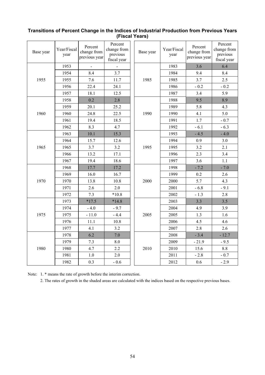| Base year            | Year/Fiscal<br>year | Percent<br>change from                                                     | Percent<br>change from<br>previous<br>fiscal year                                                                                                                                                                                                       | Base year | Year/Fiscal<br>year                                                                                                                                                             | Percent<br>change from<br>previous year | Percent<br>change from<br>previous<br>fiscal year |
|----------------------|---------------------|----------------------------------------------------------------------------|---------------------------------------------------------------------------------------------------------------------------------------------------------------------------------------------------------------------------------------------------------|-----------|---------------------------------------------------------------------------------------------------------------------------------------------------------------------------------|-----------------------------------------|---------------------------------------------------|
|                      | 1953                |                                                                            |                                                                                                                                                                                                                                                         |           | 1983                                                                                                                                                                            | 3.6                                     | 6.4                                               |
|                      | 1954                | 8.4                                                                        | 3.7                                                                                                                                                                                                                                                     |           | 1984                                                                                                                                                                            | 9.4                                     | 8.4                                               |
| 1955                 | 1955                | 7.6                                                                        | 11.7                                                                                                                                                                                                                                                    | 1985      | 1985                                                                                                                                                                            | 3.7                                     | 2.5                                               |
|                      | 1956                | 22.4                                                                       | 24.1                                                                                                                                                                                                                                                    |           | 1986                                                                                                                                                                            | $-0.2$                                  | $-0.2$                                            |
|                      | 1957                | 18.1                                                                       | 12.5<br>2.8<br>25.2<br>22.5<br>1990<br>18.5<br>4.7<br>15.3<br>12.6<br>3.2<br>1995<br>17.1<br>18.6<br>17.2<br>16.7<br>10.8<br>2000<br>2.0<br>$*10.8$<br>$*14.8$<br>$-9.7$<br>$-4.4$<br>2005<br>10.8<br>3.2<br>7.0<br>8.0<br>2.2<br>2010<br>2.0<br>$-0.6$ | 1987      | 3.4                                                                                                                                                                             | 5.9                                     |                                                   |
|                      | 1958                | 0.2                                                                        |                                                                                                                                                                                                                                                         |           | 1988                                                                                                                                                                            | 9.5                                     | 8.9                                               |
|                      | 1959                | 20.1                                                                       |                                                                                                                                                                                                                                                         |           | 1989                                                                                                                                                                            | 5.8                                     | 4.3                                               |
| 1960                 | 1960                | 24.8                                                                       |                                                                                                                                                                                                                                                         |           | 1990                                                                                                                                                                            | 4.1                                     | $5.0$                                             |
|                      | 1961                | 19.4                                                                       |                                                                                                                                                                                                                                                         |           | 1991                                                                                                                                                                            | 1.7                                     | $-0.7$                                            |
|                      | 1962                | 8.3                                                                        |                                                                                                                                                                                                                                                         |           | 1992                                                                                                                                                                            | $-6.1$                                  | $-6.3$                                            |
|                      | 1963                | 10.1                                                                       |                                                                                                                                                                                                                                                         |           | 1993                                                                                                                                                                            | $-4.5$                                  | $-4.0$                                            |
|                      | 1964                | 15.7                                                                       |                                                                                                                                                                                                                                                         |           | 1994                                                                                                                                                                            | 0.9                                     | 3.0                                               |
| 1965                 | 1965                | 3.7                                                                        |                                                                                                                                                                                                                                                         |           | 1995                                                                                                                                                                            | 3.2                                     | 2.1                                               |
|                      | 1966                | 13.2                                                                       |                                                                                                                                                                                                                                                         |           | 1996                                                                                                                                                                            | 2.3                                     | 3.4                                               |
|                      | 1967                | 19.4<br>17.7<br>16.0<br>13.8<br>2.6<br>7.3<br>$*17.5$<br>$-4.0$<br>$-11.0$ |                                                                                                                                                                                                                                                         | 1997      | 3.6                                                                                                                                                                             | 1.1                                     |                                                   |
|                      | 1968                |                                                                            |                                                                                                                                                                                                                                                         |           | 1998                                                                                                                                                                            | $-7.2$                                  | $-7.0$                                            |
|                      | 1969                |                                                                            |                                                                                                                                                                                                                                                         |           | 1999                                                                                                                                                                            | 0.2                                     | 2.6                                               |
| 1970<br>1975<br>1980 | 1970                |                                                                            |                                                                                                                                                                                                                                                         |           | 2000                                                                                                                                                                            | 5.7                                     | 4.3                                               |
|                      | 1971                |                                                                            |                                                                                                                                                                                                                                                         |           | 2001                                                                                                                                                                            | $-6.8$                                  | $-9.1$                                            |
|                      | 1972                |                                                                            |                                                                                                                                                                                                                                                         |           | 2002<br>$-1.3$<br>2003<br>3.3<br>2004<br>4.9<br>2005<br>1.3<br>2006<br>4.5<br>2007<br>2.8<br>2008<br>$-3.4$<br>2009<br>$-21.9$<br>2010<br>15.6<br>2011<br>$-2.8$<br>2012<br>0.6 | 2.8                                     |                                                   |
|                      | 1973                |                                                                            |                                                                                                                                                                                                                                                         |           |                                                                                                                                                                                 |                                         | 3.5                                               |
|                      | 1974                |                                                                            |                                                                                                                                                                                                                                                         |           |                                                                                                                                                                                 |                                         | 3.9                                               |
|                      | 1975                |                                                                            |                                                                                                                                                                                                                                                         |           |                                                                                                                                                                                 |                                         | 1.6                                               |
|                      | 1976                | 11.1                                                                       |                                                                                                                                                                                                                                                         |           |                                                                                                                                                                                 |                                         | 4.6                                               |
|                      | 1977                | 4.1                                                                        |                                                                                                                                                                                                                                                         |           |                                                                                                                                                                                 |                                         | 2.6                                               |
|                      | 1978                | 6.2                                                                        |                                                                                                                                                                                                                                                         |           |                                                                                                                                                                                 |                                         | $-12.7$                                           |
|                      | 1979                | 7.3                                                                        |                                                                                                                                                                                                                                                         |           |                                                                                                                                                                                 |                                         | $-9.5$                                            |
|                      | 1980                | 4.7                                                                        |                                                                                                                                                                                                                                                         |           |                                                                                                                                                                                 |                                         | 8.8                                               |
|                      | 1981                | 1.0                                                                        |                                                                                                                                                                                                                                                         |           |                                                                                                                                                                                 |                                         | $-0.7$                                            |
|                      | 1982                | previous year<br>0.3                                                       |                                                                                                                                                                                                                                                         |           |                                                                                                                                                                                 | $-2.9$                                  |                                                   |

### **Transitions of Percent Change in the Indices of Industrial Production from Previous Years (Fiscal Years)**

Note: 1. \* means the rate of growth before the interim correction.

2. The rates of growth in the shaded areas are calculated with the indices based on the respective previous bases.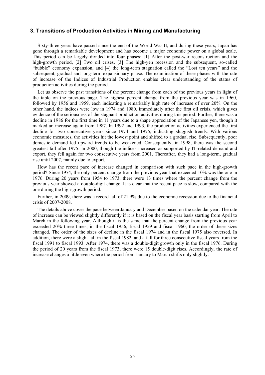### **3. Transitions of Production Activities in Mining and Manufacturing**

Sixty-three years have passed since the end of the World War II, and during these years, Japan has gone through a remarkable development and has become a major economic power on a global scale. This period can be largely divided into four phases: [1] After the post-war reconstruction and the high-growth period, [2] Two oil crises, [3] The high-yen recession and the subsequent, so-called "bubble" economy expansion, and [4] the long-term stagnation called the "Lost ten years" and the subsequent, gradual and long-term expansionary phase. The examination of these phases with the rate of increase of the Indices of Industrial Production enables clear understanding of the status of production activities during the period.

Let us observe the past transitions of the percent change from each of the previous years in light of the table on the previous page. The highest percent change from the previous year was in 1960, followed by 1956 and 1959, each indicating a remarkably high rate of increase of over 20%. On the other hand, the indices were low in 1974 and 1980, immediately after the first oil crisis, which gives evidence of the seriousness of the stagnant production activities during this period. Further, there was a decline in 1986 for the first time in 11 years due to a shape appreciation of the Japanese yen, though it marked an increase again from 1987. In 1992 and 1993, the production activities experienced the first decline for two consecutive years since 1974 and 1975, indicating sluggish trends. With various economic measures, the activities hit the lowest point and shifted to a gradual rise. Subsequently, poor domestic demand led upward trends to be weakened. Consequently, in 1998, there was the second greatest fall after 1975. In 2000, though the indices increased as supported by IT-related demand and export, they fell again for two consecutive years from 2001. Thereafter, they had a long-term, gradual rise until 2007, mainly due to export.

How has the recent pace of increase changed in comparison with such pace in the high-growth period? Since 1974, the only percent change from the previous year that exceeded 10% was the one in 1976. During 20 years from 1954 to 1973, there were 13 times where the percent change from the previous year showed a double-digit change. It is clear that the recent pace is slow, compared with the one during the high-growth period.

Further, in 2009, there was a record fall of 21.9% due to the economic recession due to the financial crisis of 2007-2008.

The details above cover the pace between January and December based on the calendar year. The rate of increase can be viewed slightly differently if it is based on the fiscal year basis starting from April to March in the following year. Although it is the same that the percent change from the previous year exceeded 20% three times, in the fiscal 1956, fiscal 1959 and fiscal 1960, the order of these sizes changed. The order of the sizes of decline in the fiscal 1974 and in the fiscal 1975 also reversed. In addition, there were a slight fall in the fiscal 1982, and a fall for three consecutive fiscal years from the fiscal 1991 to fiscal 1993. After 1974, there was a double-digit growth only in the fiscal 1976. During the period of 20 years from the fiscal 1973, there were 15 double-digit rises. Accordingly, the rate of increase changes a little even where the period from January to March shifts only slightly.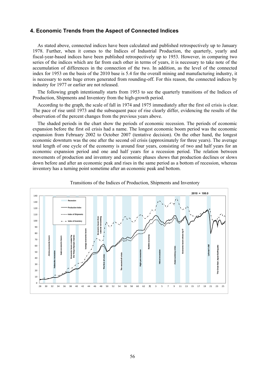### **4. Economic Trends from the Aspect of Connected Indices**

As stated above, connected indices have been calculated and published retrospectively up to January 1978. Further, when it comes to the Indices of Industrial Production, the quarterly, yearly and fiscal-year-based indices have been published retrospectively up to 1953. However, in comparing two series of the indices which are far from each other in terms of years, it is necessary to take note of the accumulation of differences in the connection of the two. In addition, as the level of the connected index for 1953 on the basis of the 2010 base is 5.4 for the overall mining and manufacturing industry, it is necessary to note huge errors generated from rounding-off. For this reason, the connected indices by industry for 1977 or earlier are not released.

The following graph intentionally starts from 1953 to see the quarterly transitions of the Indices of Production, Shipments and Inventory from the high-growth period.

According to the graph, the scale of fall in 1974 and 1975 immediately after the first oil crisis is clear. The pace of rise until 1973 and the subsequent pace of rise clearly differ, evidencing the results of the observation of the percent changes from the previous years above.

The shaded periods in the chart show the periods of economic recession. The periods of economic expansion before the first oil crisis had a name. The longest economic boom period was the economic expansion from February 2002 to October 2007 (tentative decision). On the other hand, the longest economic downturn was the one after the second oil crisis (approximately for three years). The average total length of one cycle of the economy is around four years, consisting of two and half years for an economic expansion period and one and half years for a recession period. The relation between movements of production and inventory and economic phases shows that production declines or slows down before and after an economic peak and rises in the same period as a bottom of recession, whereas inventory has a turning point sometime after an economic peak and bottom.



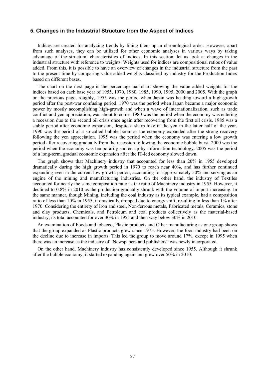### **5. Changes in the Industrial Structure from the Aspect of Indices**

Indices are created for analyzing trends by lining them up in chronological order. However, apart from such analyses, they can be utilized for other economic analyses in various ways by taking advantage of the structural characteristics of indices. In this section, let us look at changes in the industrial structure with reference to weights. Weights used for indices are compositional ratios of value added. From this, it is possible to have an overview of changes in the industrial structure from the past to the present time by comparing value added weights classified by industry for the Production Index based on different bases.

The chart on the next page is the percentage bar chart showing the value added weights for the indices based on each base year of 1955, 1970, 1980, 1985, 1990, 1995, 2000 and 2005. With the graph on the previous page, roughly, 1955 was the period when Japan was heading toward a high-growth period after the post-war confusing period. 1970 was the period when Japan became a major economic power by mostly accomplishing high-growth and when a wave of internationalization, such as trade conflict and yen appreciation, was about to come. 1980 was the period when the economy was entering a recession due to the second oil crisis once again after recovering from the first oil crisis. 1985 was a stable period after economic expansion, despite a sharp hike in the yen in the latter half of the year. 1990 was the period of a so-called bubble boom as the economy expanded after the strong recovery following the yen appreciation. 1995 was the period when the economy was entering a low growth period after recovering gradually from the recession following the economic bubble burst. 2000 was the period when the economy was temporarily shored up by information technology. 2005 was the period of a long-term, gradual economic expansion after the IT-led economy slowed down.

The graph shows that Machinery industry that accounted for less than 20% in 1955 developed dramatically during the high growth period in 1970 to reach near 40%, and has further continued expanding even in the current low growth period, accounting for approximately 50% and serving as an engine of the mining and manufacturing industries. On the other hand, the industry of Textiles accounted for nearly the same composition ratio as the ratio of Machinery industry in 1955. However, it declined to 0.8% in 2010 as the production gradually shrunk with the volume of import increasing. In the same manner, though Mining, including the coal industry as its typical example, had a composition ratio of less than 10% in 1955, it drastically dropped due to energy shift, resulting in less than 1% after 1970. Considering the entirety of Iron and steel, Non-ferrous metals, Fabricated metals, Ceramics, stone and clay products, Chemicals, and Petroleum and coal products collectively as the material-based industry, its total accounted for over 30% in 1955 and then way below 30% in 2010.

An examination of Foods and tobacco, Plastic products and Other manufacturing as one group shows that the group expanded as Plastic products grew since 1975. However, the food industry had been on the decline due to increase in imports. This led the group to move around 17%, except in 1995 when there was an increase as the industry of "Newspapers and publishers" was newly incorporated.

On the other hand, Machinery industry has consistently developed since 1955. Although it shrunk after the bubble economy, it started expanding again and grew over 50% in 2010.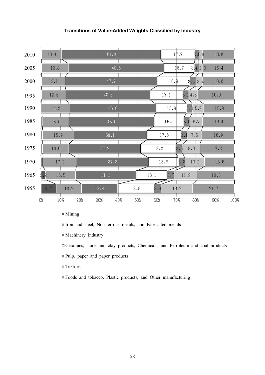### **Transitions of Value-Added Weights Classified by Industry**



- $\blacksquare$  Mining
- Iron and steel, Non-ferrous metals, and Fabricated metals
- $M$ achinery industry
- $\Box$  Ceramics, stone and clay products, Chemicals, and Petroleum and coal products
- Pulp, paper and paper products
- $\blacksquare$  Textiles
- Foods and tobacco, Plastic products, and Other manufacturing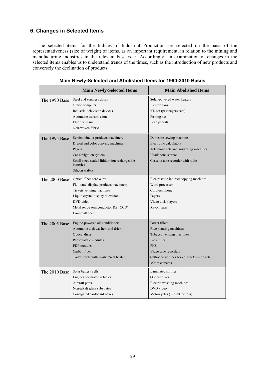### **6. Changes in Selected Items**

The selected items for the Indices of Industrial Production are selected on the basis of the representativeness (size of weight) of items, as an important requirement, in relation to the mining and manufacturing industries in the relevant base year. Accordingly, an examination of changes in the selected items enables us to understand trends of the times, such as the introduction of new products and conversely the declination of products.

|               | <b>Main Newly-Selected Items</b>                                                                                                                                                                        | <b>Main Abolished Items</b>                                                                                                                                                            |
|---------------|---------------------------------------------------------------------------------------------------------------------------------------------------------------------------------------------------------|----------------------------------------------------------------------------------------------------------------------------------------------------------------------------------------|
| The 1990 Base | Steel and stainless doors<br>Office computer<br>Industrial television devices<br>Automatic transmission<br>Fluorine resin<br>Non-woven fabric                                                           | Solar-powered water heaters<br>Electric fans<br>KD set (passengers cars)<br>Fishing net<br>Lead pencils                                                                                |
| The 1995 Base | Semiconductor products machinery<br>Digital and color copying machines<br>Pagers<br>Car navigation system<br>Small sized sealed lithium ion rechargeable<br>batteries<br>Silicon wafers                 | Domestic sewing machines<br>Electronic calculators<br>Telephone sets and answering machines<br>Headphone stereos<br>Cassette tape recorder with radio                                  |
| The 2000 Base | Optical fiber core wires<br>Flat-panel display products machinery<br>Tickets vending machines<br>Liquid crystal display television<br>DVD video<br>Metal oxide semiconductor ICs (CCD)<br>Low-malt beer | Electrostatic indirect copying machines<br>Word processor<br>Cordless phone<br>Pagers<br>Video disk players<br>Rayon yarn                                                              |
| The 2005 Base | Engine-powered air conditioners<br>Automatic dish washers and driers<br>Optical disks<br>Photovoltaic modules<br>PDP modules<br>Carbon fiber<br>Toilet stools with washer/seat heater                   | Power tillers<br>Rice planting machines<br>Tobacco vending machines<br>Facsimiles<br><b>PHS</b><br>Video tape recorders<br>Cathode-ray tubes for color television sets<br>35mm cameras |
| The 2010 Base | Solar battery cells<br>Engines for motor vehicles<br>Aircraft parts<br>Non-alkali glass substrates<br>Corrugated cardboard boxes                                                                        | Laminated springs<br>Optical disks<br>Electric washing machines<br>DVD video<br>Motorcycles (125 ml. or less)                                                                          |

**Main Newly-Selected and Abolished Items for 1990-2010 Bases**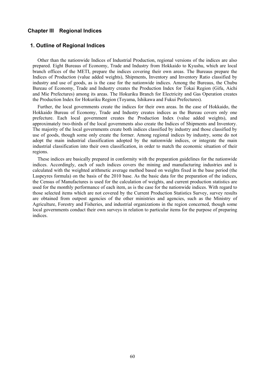### **Chapter III Regional Indices**

### **1. Outline of Regional Indices**

Other than the nationwide Indices of Industrial Production, regional versions of the indices are also prepared. Eight Bureaus of Economy, Trade and Industry from Hokkaido to Kyushu, which are local branch offices of the METI, prepare the indices covering their own areas. The Bureaus prepare the Indices of Production (value added weights), Shipments, Inventory and Inventory Ratio classified by industry and use of goods, as is the case for the nationwide indices. Among the Bureaus, the Chubu Bureau of Economy, Trade and Industry creates the Production Index for Tokai Region (Gifu, Aichi and Mie Prefectures) among its areas. The Hokuriku Branch for Electricity and Gas Operation creates the Production Index for Hokuriku Region (Toyama, Ishikawa and Fukui Prefectures).

Further, the local governments create the indices for their own areas. In the case of Hokkaido, the Hokkaido Bureau of Economy, Trade and Industry creates indices as the Bureau covers only one prefecture. Each local government creates the Production Index (value added weights), and approximately two-thirds of the local governments also create the Indices of Shipments and Inventory. The majority of the local governments create both indices classified by industry and those classified by use of goods, though some only create the former. Among regional indices by industry, some do not adopt the main industrial classification adopted by the nationwide indices, or integrate the main industrial classification into their own classification, in order to match the economic situation of their regions.

These indices are basically prepared in conformity with the preparation guidelines for the nationwide indices. Accordingly, each of such indices covers the mining and manufacturing industries and is calculated with the weighted arithmetic average method based on weights fixed in the base period (the Laspeyres formula) on the basis of the 2010 base. As the basic data for the preparation of the indices, the Census of Manufactures is used for the calculation of weights, and current production statistics are used for the monthly performance of each item, as is the case for the nationwide indices. With regard to those selected items which are not covered by the Current Production Statistics Survey, survey results are obtained from outpost agencies of the other ministries and agencies, such as the Ministry of Agriculture, Forestry and Fisheries, and industrial organizations in the region concerned, though some local governments conduct their own surveys in relation to particular items for the purpose of preparing indices.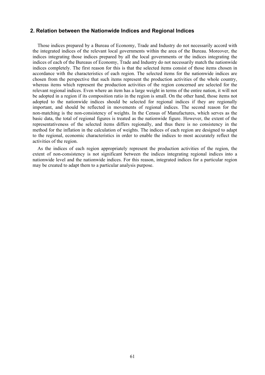### **2. Relation between the Nationwide Indices and Regional Indices**

Those indices prepared by a Bureau of Economy, Trade and Industry do not necessarily accord with the integrated indices of the relevant local governments within the area of the Bureau. Moreover, the indices integrating those indices prepared by all the local governments or the indices integrating the indices of each of the Bureaus of Economy, Trade and Industry do not necessarily match the nationwide indices completely. The first reason for this is that the selected items consist of those items chosen in accordance with the characteristics of each region. The selected items for the nationwide indices are chosen from the perspective that such items represent the production activities of the whole country, whereas items which represent the production activities of the region concerned are selected for the relevant regional indices. Even where an item has a large weight in terms of the entire nation, it will not be adopted in a region if its composition ratio in the region is small. On the other hand, those items not adopted to the nationwide indices should be selected for regional indices if they are regionally important, and should be reflected in movements of regional indices. The second reason for the non-matching is the non-consistency of weights. In the Census of Manufactures, which serves as the basic data, the total of regional figures is treated as the nationwide figure. However, the extent of the representativeness of the selected items differs regionally, and thus there is no consistency in the method for the inflation in the calculation of weights. The indices of each region are designed to adapt to the regional, economic characteristics in order to enable the indices to most accurately reflect the activities of the region.

As the indices of each region appropriately represent the production activities of the region, the extent of non-consistency is not significant between the indices integrating regional indices into a nationwide level and the nationwide indices. For this reason, integrated indices for a particular region may be created to adapt them to a particular analysis purpose.